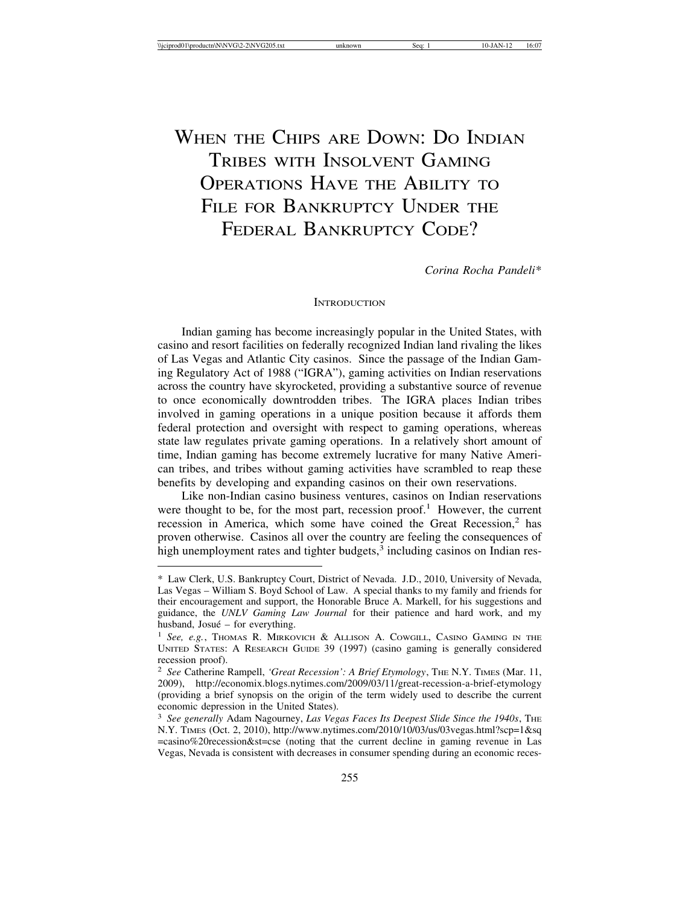# WHEN THE CHIPS ARE DOWN: DO INDIAN TRIBES WITH INSOLVENT GAMING OPERATIONS HAVE THE ABILITY TO FILE FOR BANKRUPTCY UNDER THE FEDERAL BANKRUPTCY CODE?

*Corina Rocha Pandeli*\*

## **INTRODUCTION**

Indian gaming has become increasingly popular in the United States, with casino and resort facilities on federally recognized Indian land rivaling the likes of Las Vegas and Atlantic City casinos. Since the passage of the Indian Gaming Regulatory Act of 1988 ("IGRA"), gaming activities on Indian reservations across the country have skyrocketed, providing a substantive source of revenue to once economically downtrodden tribes. The IGRA places Indian tribes involved in gaming operations in a unique position because it affords them federal protection and oversight with respect to gaming operations, whereas state law regulates private gaming operations. In a relatively short amount of time, Indian gaming has become extremely lucrative for many Native American tribes, and tribes without gaming activities have scrambled to reap these benefits by developing and expanding casinos on their own reservations.

Like non-Indian casino business ventures, casinos on Indian reservations were thought to be, for the most part, recession proof.<sup>1</sup> However, the current recession in America, which some have coined the Great Recession,<sup>2</sup> has proven otherwise. Casinos all over the country are feeling the consequences of high unemployment rates and tighter budgets, $3$  including casinos on Indian res-

<sup>\*</sup> Law Clerk, U.S. Bankruptcy Court, District of Nevada. J.D., 2010, University of Nevada, Las Vegas – William S. Boyd School of Law. A special thanks to my family and friends for their encouragement and support, the Honorable Bruce A. Markell, for his suggestions and guidance, the *UNLV Gaming Law Journal* for their patience and hard work, and my husband,  $Josu\acute{e}$  – for everything.

<sup>1</sup> *See, e.g.*, THOMAS R. MIRKOVICH & ALLISON A. COWGILL, CASINO GAMING IN THE UNITED STATES: A RESEARCH GUIDE 39 (1997) (casino gaming is generally considered recession proof).

<sup>&</sup>lt;sup>2</sup> See Catherine Rampell, 'Great Recession': A Brief Etymology, THE N.Y. TIMES (Mar. 11, 2009), http://economix.blogs.nytimes.com/2009/03/11/great-recession-a-brief-etymology (providing a brief synopsis on the origin of the term widely used to describe the current economic depression in the United States).

<sup>&</sup>lt;sup>3</sup> See generally Adam Nagourney, Las Vegas Faces Its Deepest Slide Since the 1940s, THE N.Y. TIMES (Oct. 2, 2010), http://www.nytimes.com/2010/10/03/us/03vegas.html?scp=1&sq =casino%20recession&st=cse (noting that the current decline in gaming revenue in Las Vegas, Nevada is consistent with decreases in consumer spending during an economic reces-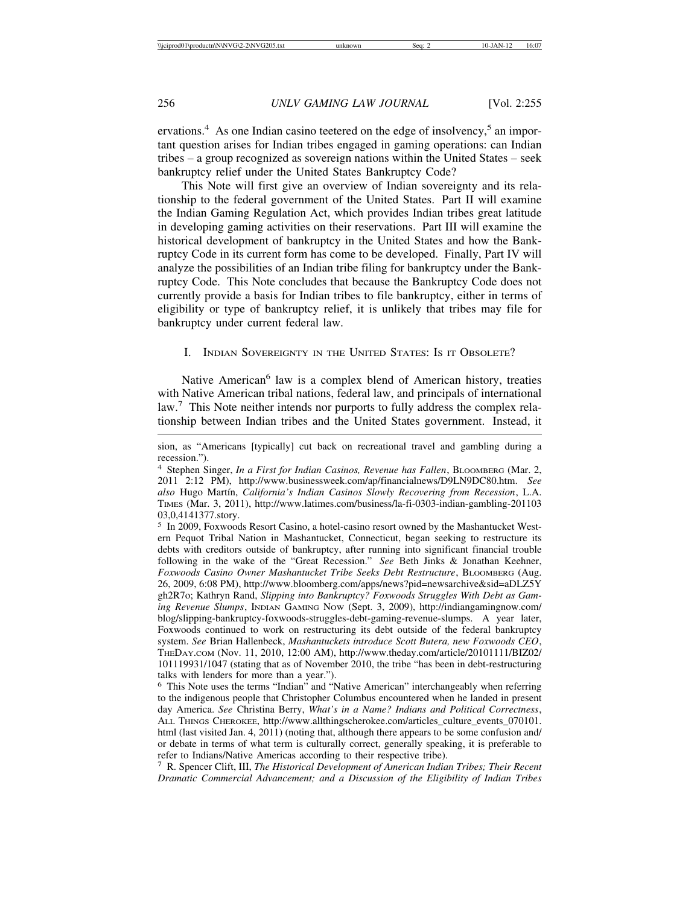ervations.<sup>4</sup> As one Indian casino teetered on the edge of insolvency,<sup>5</sup> an important question arises for Indian tribes engaged in gaming operations: can Indian tribes – a group recognized as sovereign nations within the United States – seek bankruptcy relief under the United States Bankruptcy Code?

This Note will first give an overview of Indian sovereignty and its relationship to the federal government of the United States. Part II will examine the Indian Gaming Regulation Act, which provides Indian tribes great latitude in developing gaming activities on their reservations. Part III will examine the historical development of bankruptcy in the United States and how the Bankruptcy Code in its current form has come to be developed. Finally, Part IV will analyze the possibilities of an Indian tribe filing for bankruptcy under the Bankruptcy Code. This Note concludes that because the Bankruptcy Code does not currently provide a basis for Indian tribes to file bankruptcy, either in terms of eligibility or type of bankruptcy relief, it is unlikely that tribes may file for bankruptcy under current federal law.

# I. INDIAN SOVEREIGNTY IN THE UNITED STATES: IS IT OBSOLETE?

Native American<sup>6</sup> law is a complex blend of American history, treaties with Native American tribal nations, federal law, and principals of international law.<sup>7</sup> This Note neither intends nor purports to fully address the complex relationship between Indian tribes and the United States government. Instead, it

<sup>5</sup> In 2009, Foxwoods Resort Casino, a hotel-casino resort owned by the Mashantucket Western Pequot Tribal Nation in Mashantucket, Connecticut, began seeking to restructure its debts with creditors outside of bankruptcy, after running into significant financial trouble following in the wake of the "Great Recession." *See* Beth Jinks & Jonathan Keehner, *Foxwoods Casino Owner Mashantucket Tribe Seeks Debt Restructure*, BLOOMBERG (Aug. 26, 2009, 6:08 PM), http://www.bloomberg.com/apps/news?pid=newsarchive&sid=aDLZ5Y gh2R7o; Kathryn Rand, *Slipping into Bankruptcy? Foxwoods Struggles With Debt as Gaming Revenue Slumps*, INDIAN GAMING NOW (Sept. 3, 2009), http://indiangamingnow.com/ blog/slipping-bankruptcy-foxwoods-struggles-debt-gaming-revenue-slumps. A year later, Foxwoods continued to work on restructuring its debt outside of the federal bankruptcy system. *See* Brian Hallenbeck, *Mashantuckets introduce Scott Butera, new Foxwoods CEO*, THEDAY.COM (Nov. 11, 2010, 12:00 AM), http://www.theday.com/article/20101111/BIZ02/ 101119931/1047 (stating that as of November 2010, the tribe "has been in debt-restructuring talks with lenders for more than a year.").

<sup>6</sup> This Note uses the terms "Indian" and "Native American" interchangeably when referring to the indigenous people that Christopher Columbus encountered when he landed in present day America. *See* Christina Berry, *What's in a Name? Indians and Political Correctness*, ALL THINGS CHEROKEE, http://www.allthingscherokee.com/articles\_culture\_events\_070101. html (last visited Jan. 4, 2011) (noting that, although there appears to be some confusion and/ or debate in terms of what term is culturally correct, generally speaking, it is preferable to refer to Indians/Native Americas according to their respective tribe).

<sup>7</sup> R. Spencer Clift, III, *The Historical Development of American Indian Tribes; Their Recent Dramatic Commercial Advancement; and a Discussion of the Eligibility of Indian Tribes*

sion, as "Americans [typically] cut back on recreational travel and gambling during a recession.").

<sup>4</sup> Stephen Singer, *In a First for Indian Casinos, Revenue has Fallen*, BLOOMBERG (Mar. 2, 2011 2:12 PM), http://www.businessweek.com/ap/financialnews/D9LN9DC80.htm. *See also* Hugo Mart´ın, *California's Indian Casinos Slowly Recovering from Recession*, L.A. TIMES (Mar. 3, 2011), http://www.latimes.com/business/la-fi-0303-indian-gambling-201103 03,0,4141377.story.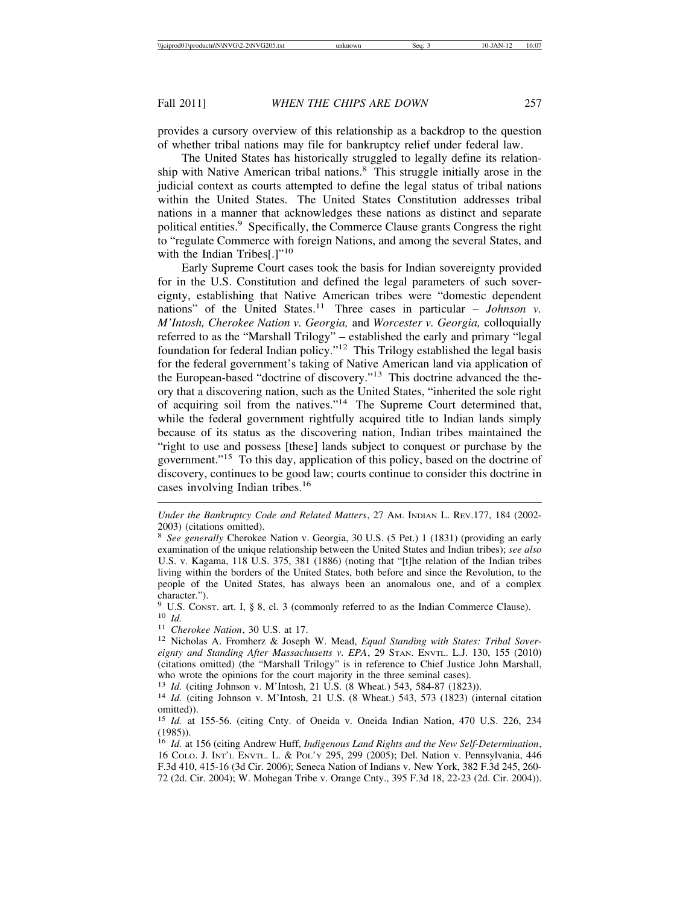provides a cursory overview of this relationship as a backdrop to the question of whether tribal nations may file for bankruptcy relief under federal law.

The United States has historically struggled to legally define its relationship with Native American tribal nations.<sup>8</sup> This struggle initially arose in the judicial context as courts attempted to define the legal status of tribal nations within the United States. The United States Constitution addresses tribal nations in a manner that acknowledges these nations as distinct and separate political entities.9 Specifically, the Commerce Clause grants Congress the right to "regulate Commerce with foreign Nations, and among the several States, and with the Indian Tribes[.] $"10"$ 

Early Supreme Court cases took the basis for Indian sovereignty provided for in the U.S. Constitution and defined the legal parameters of such sovereignty, establishing that Native American tribes were "domestic dependent nations" of the United States.<sup>11</sup> Three cases in particular – *Johnson v. M'Intosh, Cherokee Nation v. Georgia,* and *Worcester v. Georgia,* colloquially referred to as the "Marshall Trilogy" – established the early and primary "legal foundation for federal Indian policy."12 This Trilogy established the legal basis for the federal government's taking of Native American land via application of the European-based "doctrine of discovery."13 This doctrine advanced the theory that a discovering nation, such as the United States, "inherited the sole right of acquiring soil from the natives."14 The Supreme Court determined that, while the federal government rightfully acquired title to Indian lands simply because of its status as the discovering nation, Indian tribes maintained the "right to use and possess [these] lands subject to conquest or purchase by the government."15 To this day, application of this policy, based on the doctrine of discovery, continues to be good law; courts continue to consider this doctrine in cases involving Indian tribes.<sup>16</sup>

*Under the Bankruptcy Code and Related Matters*, 27 AM. INDIAN L. REV.177, 184 (2002- 2003) (citations omitted).

<sup>8</sup> *See generally* Cherokee Nation v. Georgia, 30 U.S. (5 Pet.) 1 (1831) (providing an early examination of the unique relationship between the United States and Indian tribes); *see also* U.S. v. Kagama, 118 U.S. 375, 381 (1886) (noting that "[t]he relation of the Indian tribes living within the borders of the United States, both before and since the Revolution, to the people of the United States, has always been an anomalous one, and of a complex character.").

<sup>&</sup>lt;sup>9</sup> U.S. Const. art. I, § 8, cl. 3 (commonly referred to as the Indian Commerce Clause).<br><sup>10</sup> Id.<br><sup>11</sup> Cherokee Nation, 30 U.S. at 17.<br><sup>12</sup> Nicholas A. Fromherz & Joseph W. Mead, *Equal Standing with States: Tribal Sover*-

*eignty and Standing After Massachusetts v. EPA*, 29 STAN. ENVTL. L.J. 130, 155 (2010) (citations omitted) (the "Marshall Trilogy" is in reference to Chief Justice John Marshall, who wrote the opinions for the court majority in the three seminal cases).<br><sup>13</sup> *Id.* (citing Johnson v. M'Intosh, 21 U.S. (8 Wheat.) 543, 584-87 (1823)).

<sup>&</sup>lt;sup>14</sup> *Id.* (citing Johnson v. M'Intosh, 21 U.S. (8 Wheat.) 543, 573 (1823) (internal citation omitted)).

<sup>15</sup> *Id.* at 155-56. (citing Cnty. of Oneida v. Oneida Indian Nation, 470 U.S. 226, 234 (1985)).

<sup>16</sup> *Id.* at 156 (citing Andrew Huff, *Indigenous Land Rights and the New Self-Determination*, 16 COLO. J. INT'L ENVTL. L. & POL'Y 295, 299 (2005); Del. Nation v. Pennsylvania, 446 F.3d 410, 415-16 (3d Cir. 2006); Seneca Nation of Indians v. New York, 382 F.3d 245, 260- 72 (2d. Cir. 2004); W. Mohegan Tribe v. Orange Cnty., 395 F.3d 18, 22-23 (2d. Cir. 2004)).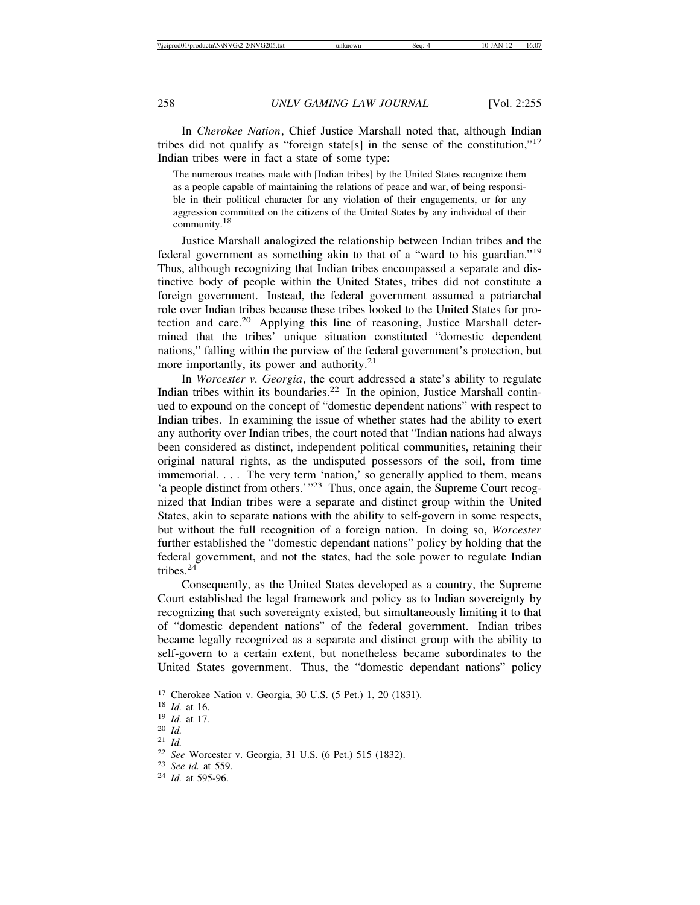In *Cherokee Nation*, Chief Justice Marshall noted that, although Indian tribes did not qualify as "foreign state[s] in the sense of the constitution," $17$ Indian tribes were in fact a state of some type:

The numerous treaties made with [Indian tribes] by the United States recognize them as a people capable of maintaining the relations of peace and war, of being responsible in their political character for any violation of their engagements, or for any aggression committed on the citizens of the United States by any individual of their community.18

Justice Marshall analogized the relationship between Indian tribes and the federal government as something akin to that of a "ward to his guardian."<sup>19</sup> Thus, although recognizing that Indian tribes encompassed a separate and distinctive body of people within the United States, tribes did not constitute a foreign government. Instead, the federal government assumed a patriarchal role over Indian tribes because these tribes looked to the United States for protection and care.<sup>20</sup> Applying this line of reasoning, Justice Marshall determined that the tribes' unique situation constituted "domestic dependent nations," falling within the purview of the federal government's protection, but more importantly, its power and authority.<sup>21</sup>

In *Worcester v. Georgia*, the court addressed a state's ability to regulate Indian tribes within its boundaries.<sup>22</sup> In the opinion, Justice Marshall continued to expound on the concept of "domestic dependent nations" with respect to Indian tribes. In examining the issue of whether states had the ability to exert any authority over Indian tribes, the court noted that "Indian nations had always been considered as distinct, independent political communities, retaining their original natural rights, as the undisputed possessors of the soil, from time immemorial. . . . The very term 'nation,' so generally applied to them, means 'a people distinct from others.'"23 Thus, once again, the Supreme Court recognized that Indian tribes were a separate and distinct group within the United States, akin to separate nations with the ability to self-govern in some respects, but without the full recognition of a foreign nation. In doing so, *Worcester* further established the "domestic dependant nations" policy by holding that the federal government, and not the states, had the sole power to regulate Indian tribes. $24$ 

Consequently, as the United States developed as a country, the Supreme Court established the legal framework and policy as to Indian sovereignty by recognizing that such sovereignty existed, but simultaneously limiting it to that of "domestic dependent nations" of the federal government. Indian tribes became legally recognized as a separate and distinct group with the ability to self-govern to a certain extent, but nonetheless became subordinates to the United States government. Thus, the "domestic dependant nations" policy

<sup>17</sup> Cherokee Nation v. Georgia, 30 U.S. (5 Pet.) 1, 20 (1831). <sup>18</sup> *Id.* at 16. <sup>19</sup> *Id.* at 17*.* <sup>20</sup> *Id.*

<sup>21</sup> *Id.*

<sup>22</sup> *See* Worcester v. Georgia, 31 U.S. (6 Pet.) 515 (1832). <sup>23</sup> *See id.* at 559. <sup>24</sup> *Id.* at 595-96.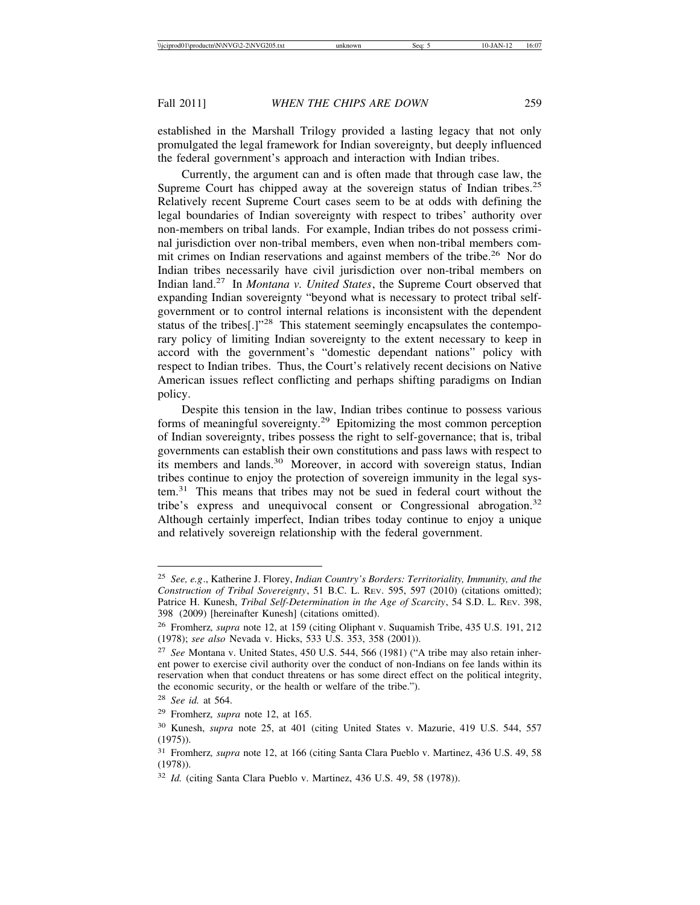established in the Marshall Trilogy provided a lasting legacy that not only promulgated the legal framework for Indian sovereignty, but deeply influenced the federal government's approach and interaction with Indian tribes.

Currently, the argument can and is often made that through case law, the Supreme Court has chipped away at the sovereign status of Indian tribes.<sup>25</sup> Relatively recent Supreme Court cases seem to be at odds with defining the legal boundaries of Indian sovereignty with respect to tribes' authority over non-members on tribal lands. For example, Indian tribes do not possess criminal jurisdiction over non-tribal members, even when non-tribal members commit crimes on Indian reservations and against members of the tribe.<sup>26</sup> Nor do Indian tribes necessarily have civil jurisdiction over non-tribal members on Indian land.27 In *Montana v. United States*, the Supreme Court observed that expanding Indian sovereignty "beyond what is necessary to protect tribal selfgovernment or to control internal relations is inconsistent with the dependent status of the tribes[.]"<sup>28</sup> This statement seemingly encapsulates the contemporary policy of limiting Indian sovereignty to the extent necessary to keep in accord with the government's "domestic dependant nations" policy with respect to Indian tribes. Thus, the Court's relatively recent decisions on Native American issues reflect conflicting and perhaps shifting paradigms on Indian policy.

Despite this tension in the law, Indian tribes continue to possess various forms of meaningful sovereignty.29 Epitomizing the most common perception of Indian sovereignty, tribes possess the right to self-governance; that is, tribal governments can establish their own constitutions and pass laws with respect to its members and lands.<sup>30</sup> Moreover, in accord with sovereign status, Indian tribes continue to enjoy the protection of sovereign immunity in the legal system.31 This means that tribes may not be sued in federal court without the tribe's express and unequivocal consent or Congressional abrogation.<sup>32</sup> Although certainly imperfect, Indian tribes today continue to enjoy a unique and relatively sovereign relationship with the federal government.

<sup>25</sup> *See, e.g*., Katherine J. Florey, *Indian Country's Borders: Territoriality, Immunity, and the Construction of Tribal Sovereignty*, 51 B.C. L. REV. 595, 597 (2010) (citations omitted); Patrice H. Kunesh, *Tribal Self-Determination in the Age of Scarcity*, 54 S.D. L. REV. 398, 398 (2009) [hereinafter Kunesh] (citations omitted).

<sup>26</sup> Fromherz*, supra* note 12, at 159 (citing Oliphant v. Suquamish Tribe, 435 U.S. 191, 212 (1978); *see also* Nevada v. Hicks, 533 U.S. 353, 358 (2001)).

<sup>27</sup> *See* Montana v. United States, 450 U.S. 544, 566 (1981) ("A tribe may also retain inherent power to exercise civil authority over the conduct of non-Indians on fee lands within its reservation when that conduct threatens or has some direct effect on the political integrity, the economic security, or the health or welfare of the tribe.").

<sup>28</sup> *See id.* at 564.

<sup>29</sup> Fromherz*, supra* note 12, at 165.

<sup>30</sup> Kunesh, *supra* note 25, at 401 (citing United States v. Mazurie, 419 U.S. 544, 557 (1975)).

<sup>31</sup> Fromherz*, supra* note 12, at 166 (citing Santa Clara Pueblo v. Martinez, 436 U.S. 49, 58 (1978)).

<sup>32</sup> *Id.* (citing Santa Clara Pueblo v. Martinez, 436 U.S. 49, 58 (1978)).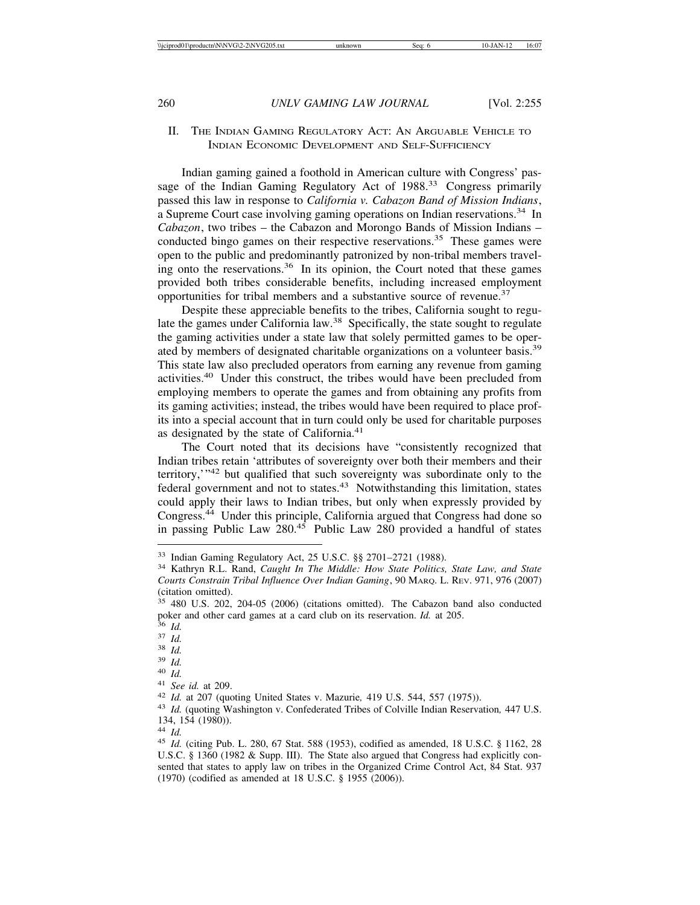# II. THE INDIAN GAMING REGULATORY ACT: AN ARGUABLE VEHICLE TO INDIAN ECONOMIC DEVELOPMENT AND SELF-SUFFICIENCY

Indian gaming gained a foothold in American culture with Congress' passage of the Indian Gaming Regulatory Act of 1988.<sup>33</sup> Congress primarily passed this law in response to *California v. Cabazon Band of Mission Indians*, a Supreme Court case involving gaming operations on Indian reservations.<sup>34</sup> In *Cabazon*, two tribes – the Cabazon and Morongo Bands of Mission Indians – conducted bingo games on their respective reservations.<sup>35</sup> These games were open to the public and predominantly patronized by non-tribal members traveling onto the reservations.<sup>36</sup> In its opinion, the Court noted that these games provided both tribes considerable benefits, including increased employment opportunities for tribal members and a substantive source of revenue.<sup>37</sup>

Despite these appreciable benefits to the tribes, California sought to regulate the games under California law.<sup>38</sup> Specifically, the state sought to regulate the gaming activities under a state law that solely permitted games to be operated by members of designated charitable organizations on a volunteer basis.<sup>39</sup> This state law also precluded operators from earning any revenue from gaming activities.40 Under this construct, the tribes would have been precluded from employing members to operate the games and from obtaining any profits from its gaming activities; instead, the tribes would have been required to place profits into a special account that in turn could only be used for charitable purposes as designated by the state of California.<sup>41</sup>

The Court noted that its decisions have "consistently recognized that Indian tribes retain 'attributes of sovereignty over both their members and their territory,'"42 but qualified that such sovereignty was subordinate only to the federal government and not to states.<sup>43</sup> Notwithstanding this limitation, states could apply their laws to Indian tribes, but only when expressly provided by Congress.44 Under this principle, California argued that Congress had done so in passing Public Law  $280^{45}$  Public Law 280 provided a handful of states

<sup>33</sup> Indian Gaming Regulatory Act, 25 U.S.C. §§ 2701–2721 (1988). <sup>34</sup> Kathryn R.L. Rand, *Caught In The Middle: How State Politics, State Law, and State Courts Constrain Tribal Influence Over Indian Gaming*, 90 MARQ. L. REV. 971, 976 (2007) (citation omitted).

<sup>35</sup> 480 U.S. 202, 204-05 (2006) (citations omitted). The Cabazon band also conducted poker and other card games at a card club on its reservation. *Id.* at 205.<br>
<sup>36</sup> *Id.*<br>
<sup>37</sup> *Id.*<br>
<sup>39</sup> *Id.*<br>
<sup>49</sup> *Id.*<br>
<sup>49</sup> *Id.*<br>
<sup>41</sup> *See id.* at 209.<br>
<sup>42</sup> *Id.* at 207 (quoting United States v. Mazurie, 419 U.S.

<sup>134, 154 (1980)).</sup>

<sup>44</sup> *Id.* <sup>45</sup> *Id.* (citing Pub. L. 280, 67 Stat. 588 (1953), codified as amended, 18 U.S.C. § 1162, 28 U.S.C. § 1360 (1982 & Supp. III). The State also argued that Congress had explicitly consented that states to apply law on tribes in the Organized Crime Control Act, 84 Stat. 937 (1970) (codified as amended at 18 U.S.C. § 1955 (2006)).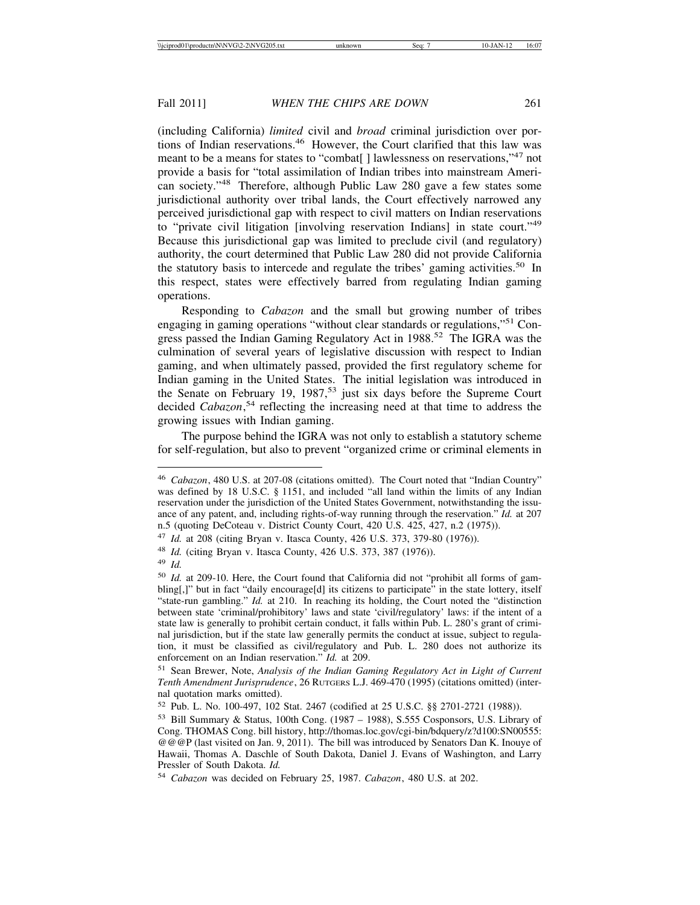(including California) *limited* civil and *broad* criminal jurisdiction over portions of Indian reservations.<sup>46</sup> However, the Court clarified that this law was meant to be a means for states to "combat[] lawlessness on reservations,"<sup>47</sup> not provide a basis for "total assimilation of Indian tribes into mainstream American society."48 Therefore, although Public Law 280 gave a few states some jurisdictional authority over tribal lands, the Court effectively narrowed any perceived jurisdictional gap with respect to civil matters on Indian reservations to "private civil litigation [involving reservation Indians] in state court."<sup>49</sup> Because this jurisdictional gap was limited to preclude civil (and regulatory) authority, the court determined that Public Law 280 did not provide California the statutory basis to intercede and regulate the tribes' gaming activities.<sup>50</sup> In this respect, states were effectively barred from regulating Indian gaming operations.

Responding to *Cabazon* and the small but growing number of tribes engaging in gaming operations "without clear standards or regulations,"51 Congress passed the Indian Gaming Regulatory Act in 1988.<sup>52</sup> The IGRA was the culmination of several years of legislative discussion with respect to Indian gaming, and when ultimately passed, provided the first regulatory scheme for Indian gaming in the United States. The initial legislation was introduced in the Senate on February 19, 1987,<sup>53</sup> just six days before the Supreme Court decided *Cabazon*, 54 reflecting the increasing need at that time to address the growing issues with Indian gaming.

The purpose behind the IGRA was not only to establish a statutory scheme for self-regulation, but also to prevent "organized crime or criminal elements in

<sup>46</sup> *Cabazon*, 480 U.S. at 207-08 (citations omitted). The Court noted that "Indian Country" was defined by 18 U.S.C. § 1151, and included "all land within the limits of any Indian reservation under the jurisdiction of the United States Government, notwithstanding the issuance of any patent, and, including rights-of-way running through the reservation." *Id.* at 207 n.5 (quoting DeCoteau v. District County Court, 420 U.S. 425, 427, n.2 (1975)).

<sup>47</sup> *Id.* at 208 (citing Bryan v. Itasca County, 426 U.S. 373, 379-80 (1976)).

<sup>48</sup> *Id.* (citing Bryan v. Itasca County, 426 U.S. 373, 387 (1976)).

<sup>49</sup> *Id.*

<sup>50</sup> *Id.* at 209-10. Here, the Court found that California did not "prohibit all forms of gambling[,]" but in fact "daily encourage[d] its citizens to participate" in the state lottery, itself "state-run gambling." *Id.* at 210. In reaching its holding, the Court noted the "distinction between state 'criminal/prohibitory' laws and state 'civil/regulatory' laws: if the intent of a state law is generally to prohibit certain conduct, it falls within Pub. L. 280's grant of criminal jurisdiction, but if the state law generally permits the conduct at issue, subject to regulation, it must be classified as civil/regulatory and Pub. L. 280 does not authorize its enforcement on an Indian reservation." *Id.* at 209.

<sup>51</sup> Sean Brewer, Note, *Analysis of the Indian Gaming Regulatory Act in Light of Current Tenth Amendment Jurisprudence*, 26 RUTGERS L.J. 469-470 (1995) (citations omitted) (internal quotation marks omitted).

<sup>52</sup> Pub. L. No. 100-497, 102 Stat. 2467 (codified at 25 U.S.C. §§ 2701-2721 (1988)).

<sup>53</sup> Bill Summary & Status, 100th Cong. (1987 – 1988), S.555 Cosponsors, U.S. Library of Cong. THOMAS Cong. bill history, http://thomas.loc.gov/cgi-bin/bdquery/z?d100:SN00555: @@@P (last visited on Jan. 9, 2011). The bill was introduced by Senators Dan K. Inouye of Hawaii, Thomas A. Daschle of South Dakota, Daniel J. Evans of Washington, and Larry Pressler of South Dakota. *Id.*

<sup>54</sup> *Cabazon* was decided on February 25, 1987. *Cabazon*, 480 U.S. at 202.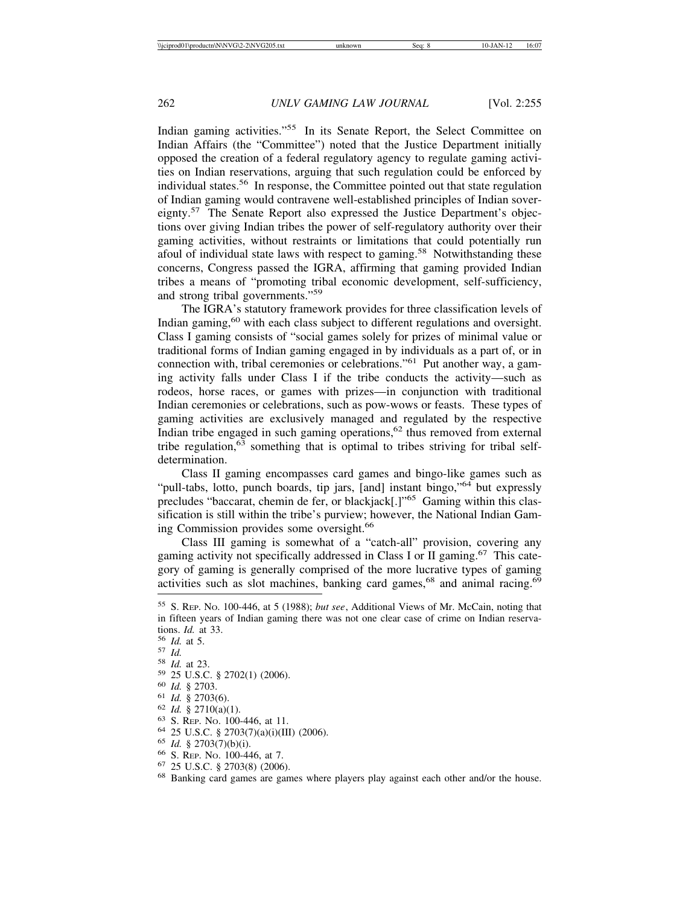Indian gaming activities."<sup>55</sup> In its Senate Report, the Select Committee on Indian Affairs (the "Committee") noted that the Justice Department initially opposed the creation of a federal regulatory agency to regulate gaming activities on Indian reservations, arguing that such regulation could be enforced by individual states.56 In response, the Committee pointed out that state regulation of Indian gaming would contravene well-established principles of Indian sovereignty.57 The Senate Report also expressed the Justice Department's objections over giving Indian tribes the power of self-regulatory authority over their gaming activities, without restraints or limitations that could potentially run afoul of individual state laws with respect to gaming.<sup>58</sup> Notwithstanding these concerns, Congress passed the IGRA, affirming that gaming provided Indian tribes a means of "promoting tribal economic development, self-sufficiency, and strong tribal governments."<sup>59</sup>

The IGRA's statutory framework provides for three classification levels of Indian gaming,<sup>60</sup> with each class subject to different regulations and oversight. Class I gaming consists of "social games solely for prizes of minimal value or traditional forms of Indian gaming engaged in by individuals as a part of, or in connection with, tribal ceremonies or celebrations."61 Put another way, a gaming activity falls under Class I if the tribe conducts the activity—such as rodeos, horse races, or games with prizes—in conjunction with traditional Indian ceremonies or celebrations, such as pow-wows or feasts. These types of gaming activities are exclusively managed and regulated by the respective Indian tribe engaged in such gaming operations,<sup>62</sup> thus removed from external tribe regulation,  $6\overline{3}$  something that is optimal to tribes striving for tribal selfdetermination.

Class II gaming encompasses card games and bingo-like games such as "pull-tabs, lotto, punch boards, tip jars, [and] instant bingo,"<sup>64</sup> but expressly precludes "baccarat, chemin de fer, or blackjack[.]"65 Gaming within this classification is still within the tribe's purview; however, the National Indian Gaming Commission provides some oversight.<sup>66</sup>

Class III gaming is somewhat of a "catch-all" provision, covering any gaming activity not specifically addressed in Class I or II gaming.<sup>67</sup> This category of gaming is generally comprised of the more lucrative types of gaming activities such as slot machines, banking card games,  $68$  and animal racing.  $69$ 

<sup>55</sup> S. REP. NO. 100-446, at 5 (1988); *but see*, Additional Views of Mr. McCain, noting that in fifteen years of Indian gaming there was not one clear case of crime on Indian reservations. *Id.* at 33.<br>
<sup>56</sup> *Id.* at 5.<br>
<sup>57</sup> *Id.*<br>
<sup>58</sup> *Id.*<br>
<sup>58</sup> *Id.*<br>
<sup>59</sup> 25 U.S.C. § 2702(1) (2006).<br>
<sup>60</sup> *Id.* § 2703.<br>
<sup>61</sup> *Id.* § 2703(6).<br>
<sup>62</sup> *Id.* § 2703(6).<br>
<sup>62</sup> *Id.* § 2703(6).<br>
<sup>63</sup> S. Rep. No. 100-44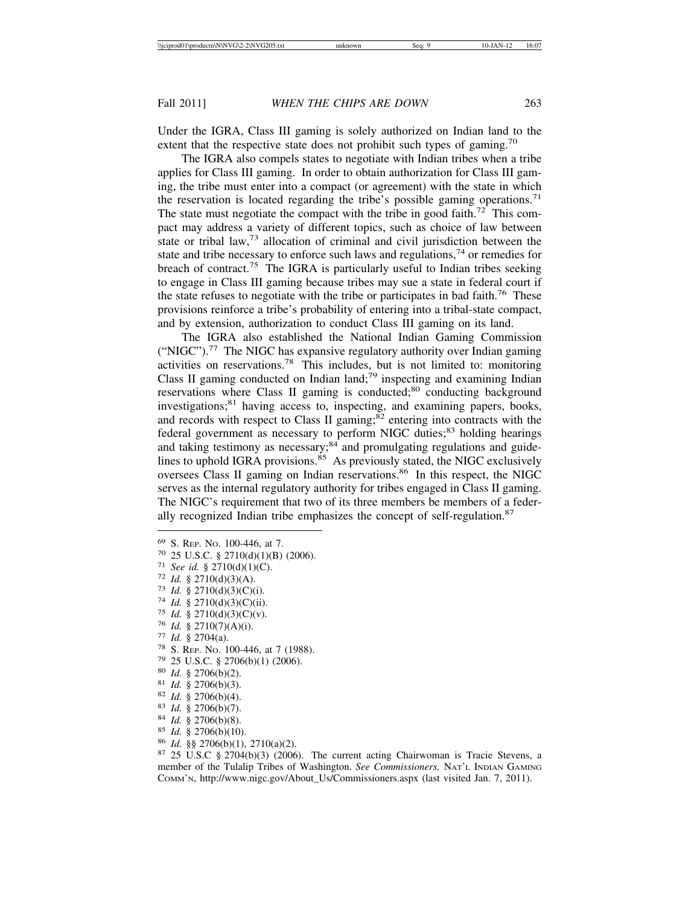Under the IGRA, Class III gaming is solely authorized on Indian land to the extent that the respective state does not prohibit such types of gaming.<sup>70</sup>

The IGRA also compels states to negotiate with Indian tribes when a tribe applies for Class III gaming. In order to obtain authorization for Class III gaming, the tribe must enter into a compact (or agreement) with the state in which the reservation is located regarding the tribe's possible gaming operations.<sup>71</sup> The state must negotiate the compact with the tribe in good faith.<sup>72</sup> This compact may address a variety of different topics, such as choice of law between state or tribal law, $73$  allocation of criminal and civil jurisdiction between the state and tribe necessary to enforce such laws and regulations,<sup>74</sup> or remedies for breach of contract.75 The IGRA is particularly useful to Indian tribes seeking to engage in Class III gaming because tribes may sue a state in federal court if the state refuses to negotiate with the tribe or participates in bad faith.<sup>76</sup> These provisions reinforce a tribe's probability of entering into a tribal-state compact, and by extension, authorization to conduct Class III gaming on its land.

The IGRA also established the National Indian Gaming Commission ("NIGC").<sup>77</sup> The NIGC has expansive regulatory authority over Indian gaming activities on reservations.78 This includes, but is not limited to: monitoring Class II gaming conducted on Indian land; $\frac{79}{9}$  inspecting and examining Indian reservations where Class II gaming is conducted;<sup>80</sup> conducting background investigations; $81$  having access to, inspecting, and examining papers, books, and records with respect to Class II gaming; $82$  entering into contracts with the federal government as necessary to perform NIGC duties;<sup>83</sup> holding hearings and taking testimony as necessary; $84$  and promulgating regulations and guidelines to uphold IGRA provisions. $85$  As previously stated, the NIGC exclusively oversees Class II gaming on Indian reservations.<sup>86</sup> In this respect, the NIGC serves as the internal regulatory authority for tribes engaged in Class II gaming. The NIGC's requirement that two of its three members be members of a federally recognized Indian tribe emphasizes the concept of self-regulation.<sup>87</sup>

- 
- 
- 
- 
- 
- 
- 
- 
- 
- 
- 
- 
- 
- 
- 
- 

<sup>69</sup> S. REP. No. 100-446, at 7.<br>
<sup>70</sup> 25 U.S.C. § 2710(d)(1)(B) (2006).<br>
<sup>71</sup> See id. § 2710(d)(3)(A).<br>
<sup>72</sup> Id. § 2710(d)(3)(A).<br>
<sup>73</sup> Id. § 2710(d)(3)(C)(ii).<br>
<sup>75</sup> Id. § 2710(d)(3)(C)(ii).<br>
<sup>75</sup> Id. § 2710(d)(3)(C)(ii) member of the Tulalip Tribes of Washington. *See Commissioners,* NAT'L INDIAN GAMING COMM'N, http://www.nigc.gov/About\_Us/Commissioners.aspx (last visited Jan. 7, 2011).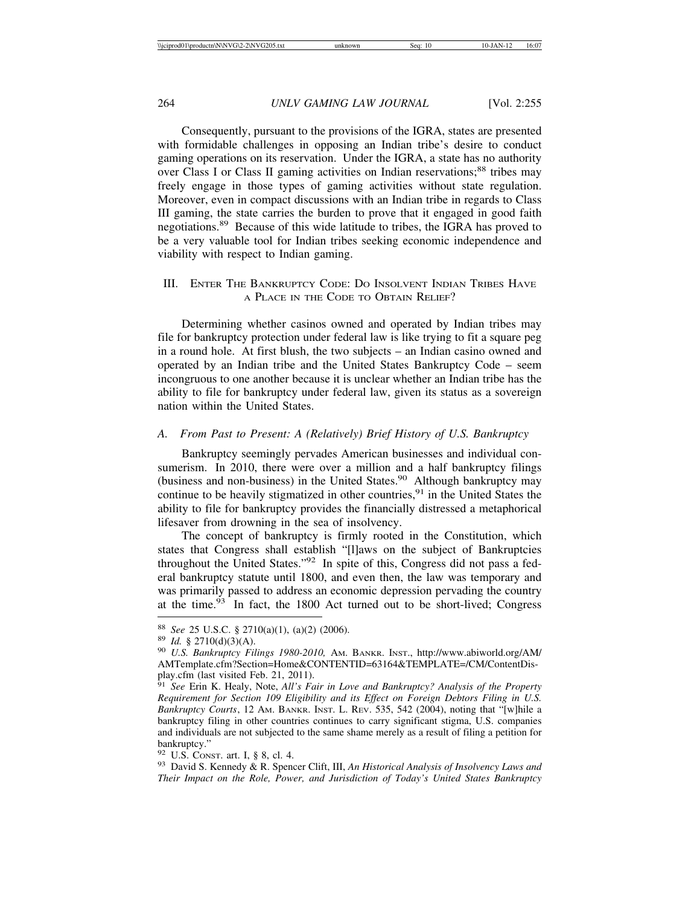Consequently, pursuant to the provisions of the IGRA, states are presented with formidable challenges in opposing an Indian tribe's desire to conduct gaming operations on its reservation. Under the IGRA, a state has no authority over Class I or Class II gaming activities on Indian reservations;<sup>88</sup> tribes may freely engage in those types of gaming activities without state regulation. Moreover, even in compact discussions with an Indian tribe in regards to Class III gaming, the state carries the burden to prove that it engaged in good faith negotiations.89 Because of this wide latitude to tribes, the IGRA has proved to be a very valuable tool for Indian tribes seeking economic independence and viability with respect to Indian gaming.

## III. ENTER THE BANKRUPTCY CODE: DO INSOLVENT INDIAN TRIBES HAVE A PLACE IN THE CODE TO OBTAIN RELIEF?

Determining whether casinos owned and operated by Indian tribes may file for bankruptcy protection under federal law is like trying to fit a square peg in a round hole. At first blush, the two subjects – an Indian casino owned and operated by an Indian tribe and the United States Bankruptcy Code – seem incongruous to one another because it is unclear whether an Indian tribe has the ability to file for bankruptcy under federal law, given its status as a sovereign nation within the United States.

## *A. From Past to Present: A (Relatively) Brief History of U.S. Bankruptcy*

Bankruptcy seemingly pervades American businesses and individual consumerism. In 2010, there were over a million and a half bankruptcy filings (business and non-business) in the United States.<sup>90</sup> Although bankruptcy may continue to be heavily stigmatized in other countries,  $91$  in the United States the ability to file for bankruptcy provides the financially distressed a metaphorical lifesaver from drowning in the sea of insolvency.

The concept of bankruptcy is firmly rooted in the Constitution, which states that Congress shall establish "[l]aws on the subject of Bankruptcies throughout the United States."92 In spite of this, Congress did not pass a federal bankruptcy statute until 1800, and even then, the law was temporary and was primarily passed to address an economic depression pervading the country at the time. $93$  In fact, the 1800 Act turned out to be short-lived; Congress

<sup>88</sup> *See* 25 U.S.C. § 2710(a)(1), (a)(2) (2006). <sup>89</sup> *Id.* § 2710(d)(3)(A). <sup>90</sup> *U.S. Bankruptcy Filings 1980-2010,* AM. BANKR. INST., http://www.abiworld.org/AM/ AMTemplate.cfm?Section=Home&CONTENTID=63164&TEMPLATE=/CM/ContentDisplay.cfm (last visited Feb. 21, 2011).

<sup>91</sup> *See* Erin K. Healy, Note, *All's Fair in Love and Bankruptcy? Analysis of the Property Requirement for Section 109 Eligibility and its Effect on Foreign Debtors Filing in U.S. Bankruptcy Courts*, 12 AM. BANKR. INST. L. REV. 535, 542 (2004), noting that "[w]hile a bankruptcy filing in other countries continues to carry significant stigma, U.S. companies and individuals are not subjected to the same shame merely as a result of filing a petition for bankruptcy."<br><sup>92</sup> U.S. CONST. art. I, § 8, cl. 4.

<sup>&</sup>lt;sup>93</sup> David S. Kennedy & R. Spencer Clift, III, *An Historical Analysis of Insolvency Laws and Their Impact on the Role, Power, and Jurisdiction of Today's United States Bankruptcy*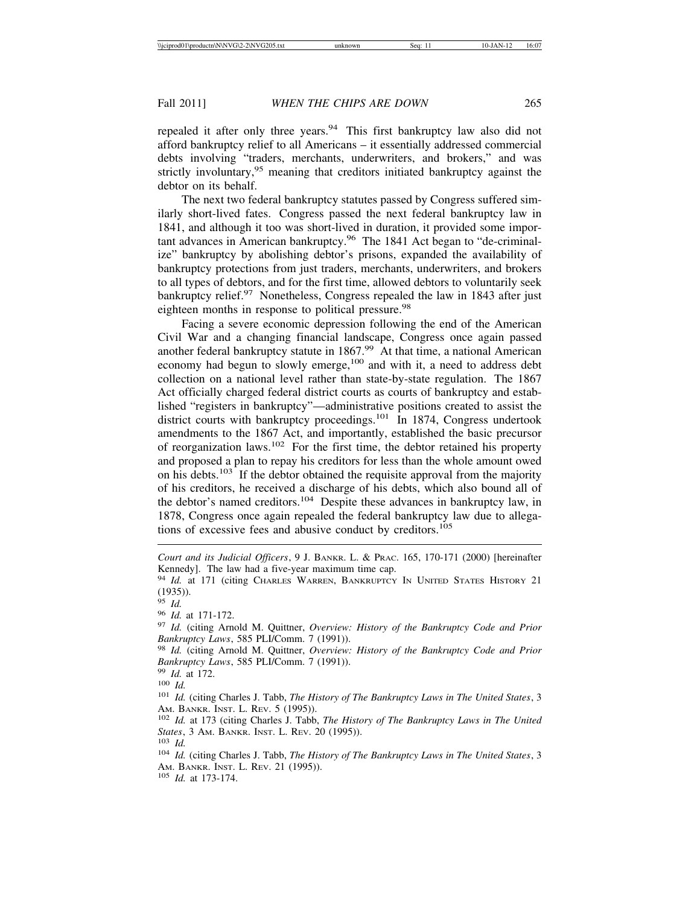repealed it after only three years.<sup>94</sup> This first bankruptcy law also did not afford bankruptcy relief to all Americans – it essentially addressed commercial debts involving "traders, merchants, underwriters, and brokers," and was strictly involuntary,<sup>95</sup> meaning that creditors initiated bankruptcy against the debtor on its behalf.

The next two federal bankruptcy statutes passed by Congress suffered similarly short-lived fates. Congress passed the next federal bankruptcy law in 1841, and although it too was short-lived in duration, it provided some important advances in American bankruptcy.96 The 1841 Act began to "de-criminalize" bankruptcy by abolishing debtor's prisons, expanded the availability of bankruptcy protections from just traders, merchants, underwriters, and brokers to all types of debtors, and for the first time, allowed debtors to voluntarily seek bankruptcy relief.<sup>97</sup> Nonetheless, Congress repealed the law in 1843 after just eighteen months in response to political pressure.<sup>98</sup>

Facing a severe economic depression following the end of the American Civil War and a changing financial landscape, Congress once again passed another federal bankruptcy statute in 1867.<sup>99</sup> At that time, a national American economy had begun to slowly emerge,<sup>100</sup> and with it, a need to address debt collection on a national level rather than state-by-state regulation. The 1867 Act officially charged federal district courts as courts of bankruptcy and established "registers in bankruptcy"—administrative positions created to assist the district courts with bankruptcy proceedings.<sup>101</sup> In 1874, Congress undertook amendments to the 1867 Act, and importantly, established the basic precursor of reorganization laws.102 For the first time, the debtor retained his property and proposed a plan to repay his creditors for less than the whole amount owed on his debts.<sup>103</sup> If the debtor obtained the requisite approval from the majority of his creditors, he received a discharge of his debts, which also bound all of the debtor's named creditors.<sup>104</sup> Despite these advances in bankruptcy law, in 1878, Congress once again repealed the federal bankruptcy law due to allegations of excessive fees and abusive conduct by creditors.<sup>105</sup>

*Court and its Judicial Officers*, 9 J. BANKR. L. & PRAC. 165, 170-171 (2000) [hereinafter Kennedy]. The law had a five-year maximum time cap.

<sup>94</sup> *Id.* at 171 (citing Charles Warren, BANKRUPTCY IN UNITED STATES HISTORY 21  $(1935)$ ).<br>95 Id.

<sup>95</sup> *Id.* <sup>96</sup> *Id.* at 171-172. <sup>97</sup> *Id.* (citing Arnold M. Quittner, *Overview: History of the Bankruptcy Code and Prior Bankruptcy Laws*, 585 PLI/Comm. 7 (1991)). <sup>98</sup> *Id.* (citing Arnold M. Quittner, *Overview: History of the Bankruptcy Code and Prior*

*Bankruptcy Laws*, 585 PLI/Comm. 7 (1991)).<br><sup>99</sup> *Id.* at 172.<br><sup>100</sup> *Id.* (citing Charles J. Tabb, *The History of The Bankruptcy Laws in The United States*, 3<br><sup>101</sup> *Id.* (citing Charles J. Tabb, *The History of The Bank* 

AM. BANKR. INST. L. REV. 5 (1995)). <sup>102</sup> *Id.* at 173 (citing Charles J. Tabb, *The History of The Bankruptcy Laws in The United*

*States*, 3 Am. BANKR. INST. L. REV. 20 (1995)).<br><sup>103</sup> *Id.* (citing Charles J. Tabb, *The History of The Bankruptcy Laws in The United States*, 3

AM. BANKR. INST. L. REV. 21 (1995)). <sup>105</sup> *Id.* at 173-174.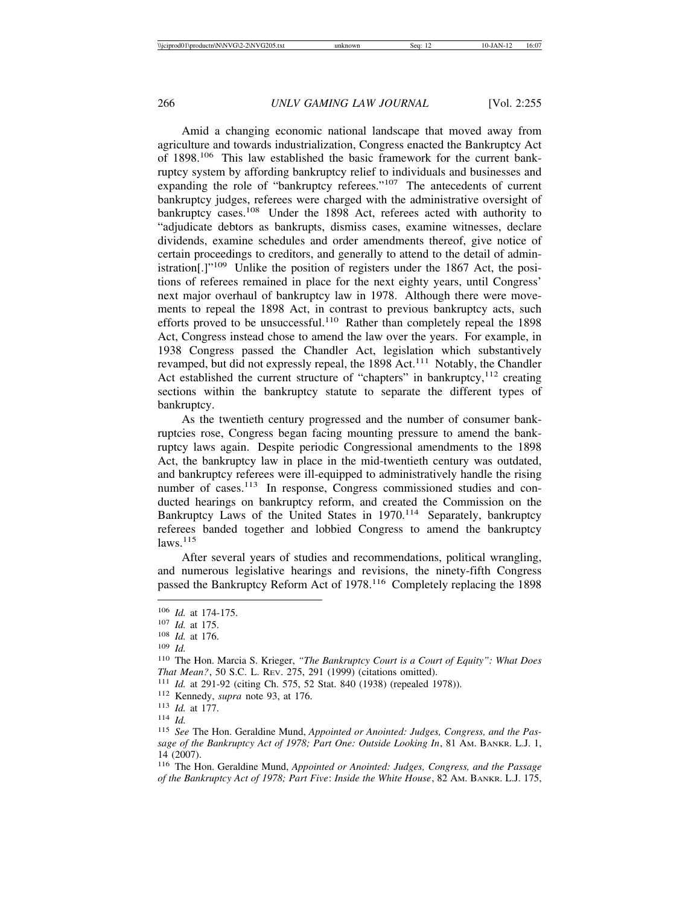Amid a changing economic national landscape that moved away from agriculture and towards industrialization, Congress enacted the Bankruptcy Act of 1898.106 This law established the basic framework for the current bankruptcy system by affording bankruptcy relief to individuals and businesses and expanding the role of "bankruptcy referees."<sup>107</sup> The antecedents of current bankruptcy judges, referees were charged with the administrative oversight of bankruptcy cases.<sup>108</sup> Under the 1898 Act, referees acted with authority to "adjudicate debtors as bankrupts, dismiss cases, examine witnesses, declare dividends, examine schedules and order amendments thereof, give notice of certain proceedings to creditors, and generally to attend to the detail of administration[.]"109 Unlike the position of registers under the 1867 Act, the positions of referees remained in place for the next eighty years, until Congress' next major overhaul of bankruptcy law in 1978. Although there were movements to repeal the 1898 Act, in contrast to previous bankruptcy acts, such efforts proved to be unsuccessful.<sup>110</sup> Rather than completely repeal the 1898 Act, Congress instead chose to amend the law over the years. For example, in 1938 Congress passed the Chandler Act, legislation which substantively revamped, but did not expressly repeal, the 1898 Act.<sup>111</sup> Notably, the Chandler Act established the current structure of "chapters" in bankruptcy, $112$  creating sections within the bankruptcy statute to separate the different types of bankruptcy.

As the twentieth century progressed and the number of consumer bankruptcies rose, Congress began facing mounting pressure to amend the bankruptcy laws again. Despite periodic Congressional amendments to the 1898 Act, the bankruptcy law in place in the mid-twentieth century was outdated, and bankruptcy referees were ill-equipped to administratively handle the rising number of cases.<sup>113</sup> In response, Congress commissioned studies and conducted hearings on bankruptcy reform, and created the Commission on the Bankruptcy Laws of the United States in 1970.<sup>114</sup> Separately, bankruptcy referees banded together and lobbied Congress to amend the bankruptcy  $laws.<sup>115</sup>$ 

After several years of studies and recommendations, political wrangling, and numerous legislative hearings and revisions, the ninety-fifth Congress passed the Bankruptcy Reform Act of 1978.<sup>116</sup> Completely replacing the 1898

<sup>114</sup> *Id.*

<sup>106</sup> *Id.* at 174-175.

<sup>107</sup> *Id.* at 175.

<sup>108</sup> *Id.* at 176.

<sup>109</sup> *Id.*

<sup>110</sup> The Hon. Marcia S. Krieger, *"The Bankruptcy Court is a Court of Equity": What Does That Mean?*, 50 S.C. L. REV. 275, 291 (1999) (citations omitted).

<sup>111</sup> *Id.* at 291-92 (citing Ch. 575, 52 Stat. 840 (1938) (repealed 1978)).

<sup>112</sup> Kennedy, *supra* note 93, at 176.

<sup>113</sup> *Id.* at 177.

<sup>115</sup> *See* The Hon. Geraldine Mund, *Appointed or Anointed: Judges, Congress, and the Passage of the Bankruptcy Act of 1978; Part One: Outside Looking In*, 81 AM. BANKR. L.J. 1, 14 (2007).

<sup>116</sup> The Hon. Geraldine Mund, *Appointed or Anointed: Judges, Congress, and the Passage of the Bankruptcy Act of 1978; Part Five*: *Inside the White House*, 82 AM. BANKR. L.J. 175,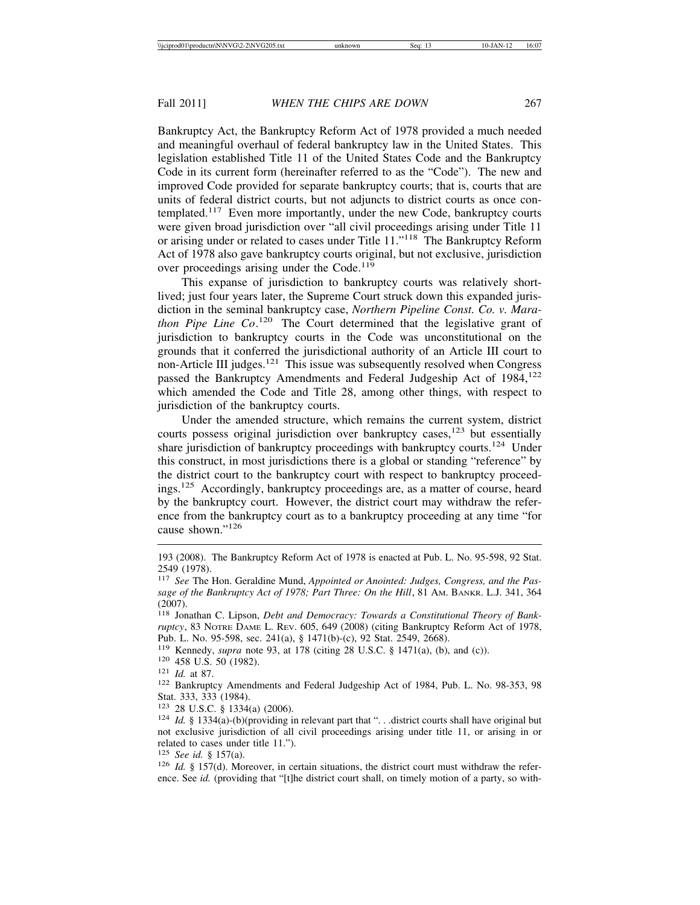Bankruptcy Act, the Bankruptcy Reform Act of 1978 provided a much needed and meaningful overhaul of federal bankruptcy law in the United States. This legislation established Title 11 of the United States Code and the Bankruptcy Code in its current form (hereinafter referred to as the "Code"). The new and improved Code provided for separate bankruptcy courts; that is, courts that are units of federal district courts, but not adjuncts to district courts as once contemplated.<sup>117</sup> Even more importantly, under the new Code, bankruptcy courts were given broad jurisdiction over "all civil proceedings arising under Title 11 or arising under or related to cases under Title 11."118 The Bankruptcy Reform Act of 1978 also gave bankruptcy courts original, but not exclusive, jurisdiction over proceedings arising under the Code.<sup>119</sup>

This expanse of jurisdiction to bankruptcy courts was relatively shortlived; just four years later, the Supreme Court struck down this expanded jurisdiction in the seminal bankruptcy case, *Northern Pipeline Const. Co. v. Marathon Pipe Line Co*. 120 The Court determined that the legislative grant of jurisdiction to bankruptcy courts in the Code was unconstitutional on the grounds that it conferred the jurisdictional authority of an Article III court to non-Article III judges.<sup>121</sup> This issue was subsequently resolved when Congress passed the Bankruptcy Amendments and Federal Judgeship Act of 1984,<sup>122</sup> which amended the Code and Title 28, among other things, with respect to jurisdiction of the bankruptcy courts.

Under the amended structure, which remains the current system, district courts possess original jurisdiction over bankruptcy cases, $123$  but essentially share jurisdiction of bankruptcy proceedings with bankruptcy courts.<sup>124</sup> Under this construct, in most jurisdictions there is a global or standing "reference" by the district court to the bankruptcy court with respect to bankruptcy proceedings.125 Accordingly, bankruptcy proceedings are, as a matter of course, heard by the bankruptcy court. However, the district court may withdraw the reference from the bankruptcy court as to a bankruptcy proceeding at any time "for cause shown."<sup>126</sup>

Pub. L. No. 95-598, sec. 241(a), § 1471(b)-(c), 92 Stat. 2549, 2668).<br><sup>119</sup> Kennedy, *supra* note 93, at 178 (citing 28 U.S.C. § 1471(a), (b), and (c)).

<sup>193 (2008).</sup> The Bankruptcy Reform Act of 1978 is enacted at Pub. L. No. 95-598, 92 Stat. 2549 (1978).

<sup>117</sup> *See* The Hon. Geraldine Mund, *Appointed or Anointed: Judges, Congress, and the Passage of the Bankruptcy Act of 1978; Part Three: On the Hill*, 81 AM. BANKR. L.J. 341, 364 (2007).

<sup>118</sup> Jonathan C. Lipson, *Debt and Democracy: Towards a Constitutional Theory of Bankruptcy*, 83 NOTRE DAME L. REV. 605, 649 (2008) (citing Bankruptcy Reform Act of 1978,

<sup>&</sup>lt;sup>120</sup> 458 U.S. 50 (1982).<br><sup>121</sup> *Id.* at 87. **121** *Id.* at 87. **122** Bankruptcy Amendments and Federal Judgeship Act of 1984, Pub. L. No. 98-353, 98 Stat. 333, 333 (1984).<br><sup>123</sup> 28 U.S.C. § 1334(a) (2006).

<sup>&</sup>lt;sup>124</sup> *Id.* § 1334(a)-(b)(providing in relevant part that "... district courts shall have original but not exclusive jurisdiction of all civil proceedings arising under title 11, or arising in or related to cases under title 11.").<br> $^{125}$  *See id.* § 157(a).

<sup>&</sup>lt;sup>126</sup> *Id.* § 157(d). Moreover, in certain situations, the district court must withdraw the reference. See *id.* (providing that "[t]he district court shall, on timely motion of a party, so with-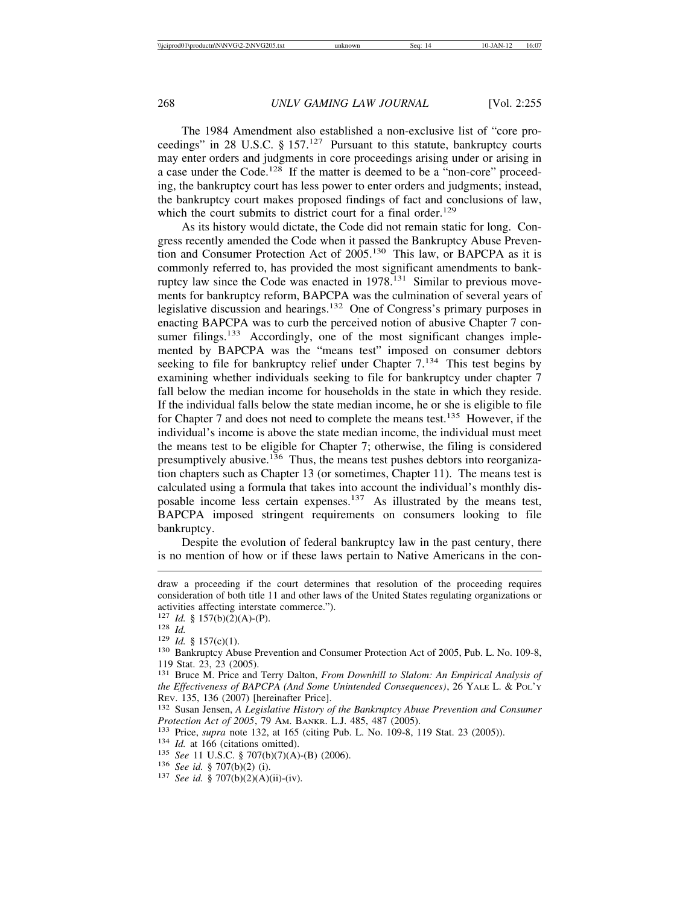The 1984 Amendment also established a non-exclusive list of "core proceedings" in 28 U.S.C. § 157.<sup>127</sup> Pursuant to this statute, bankruptcy courts may enter orders and judgments in core proceedings arising under or arising in a case under the Code.<sup>128</sup> If the matter is deemed to be a "non-core" proceeding, the bankruptcy court has less power to enter orders and judgments; instead, the bankruptcy court makes proposed findings of fact and conclusions of law, which the court submits to district court for a final order.<sup>129</sup>

As its history would dictate, the Code did not remain static for long. Congress recently amended the Code when it passed the Bankruptcy Abuse Prevention and Consumer Protection Act of 2005.130 This law, or BAPCPA as it is commonly referred to, has provided the most significant amendments to bankruptcy law since the Code was enacted in 1978.<sup>131</sup> Similar to previous movements for bankruptcy reform, BAPCPA was the culmination of several years of legislative discussion and hearings.<sup>132</sup> One of Congress's primary purposes in enacting BAPCPA was to curb the perceived notion of abusive Chapter 7 consumer filings.<sup>133</sup> Accordingly, one of the most significant changes implemented by BAPCPA was the "means test" imposed on consumer debtors seeking to file for bankruptcy relief under Chapter  $7<sup>134</sup>$  This test begins by examining whether individuals seeking to file for bankruptcy under chapter 7 fall below the median income for households in the state in which they reside. If the individual falls below the state median income, he or she is eligible to file for Chapter 7 and does not need to complete the means test.<sup>135</sup> However, if the individual's income is above the state median income, the individual must meet the means test to be eligible for Chapter 7; otherwise, the filing is considered presumptively abusive.<sup>136</sup> Thus, the means test pushes debtors into reorganization chapters such as Chapter 13 (or sometimes, Chapter 11). The means test is calculated using a formula that takes into account the individual's monthly disposable income less certain expenses.137 As illustrated by the means test, BAPCPA imposed stringent requirements on consumers looking to file bankruptcy.

Despite the evolution of federal bankruptcy law in the past century, there is no mention of how or if these laws pertain to Native Americans in the con-

draw a proceeding if the court determines that resolution of the proceeding requires consideration of both title 11 and other laws of the United States regulating organizations or activities affecting interstate commerce.").<br> $^{127}$  *Id.* § 157(b)(2)(A)-(P).

<sup>128</sup> *Id.*<br>
<sup>129</sup> *Id.* § 157(c)(1).<br>
<sup>130</sup> Bankruptcy Abuse Prevention and Consumer Protection Act of 2005, Pub. L. No. 109-8, 119 Stat. 23, 23 (2005).

<sup>131</sup> Bruce M. Price and Terry Dalton, *From Downhill to Slalom: An Empirical Analysis of the Effectiveness of BAPCPA (And Some Unintended Consequences)*, 26 YALE L. & POL'Y REV. 135, 136 (2007) [hereinafter Price].<br><sup>132</sup> Susan Jensen, *A Legislative History of the Bankruptcy Abuse Prevention and Consumer* 

*Protection Act of 2005*, 79 AM. BANKR. L.J. 485, 487 (2005).<br><sup>133</sup> Price, *supra* note 132, at 165 (citing Pub. L. No. 109-8, 119 Stat. 23 (2005)).<br><sup>134</sup> *Id.* at 166 (citations omitted).<br><sup>135</sup> *See* 11 U.S.C. § 707(b)(7)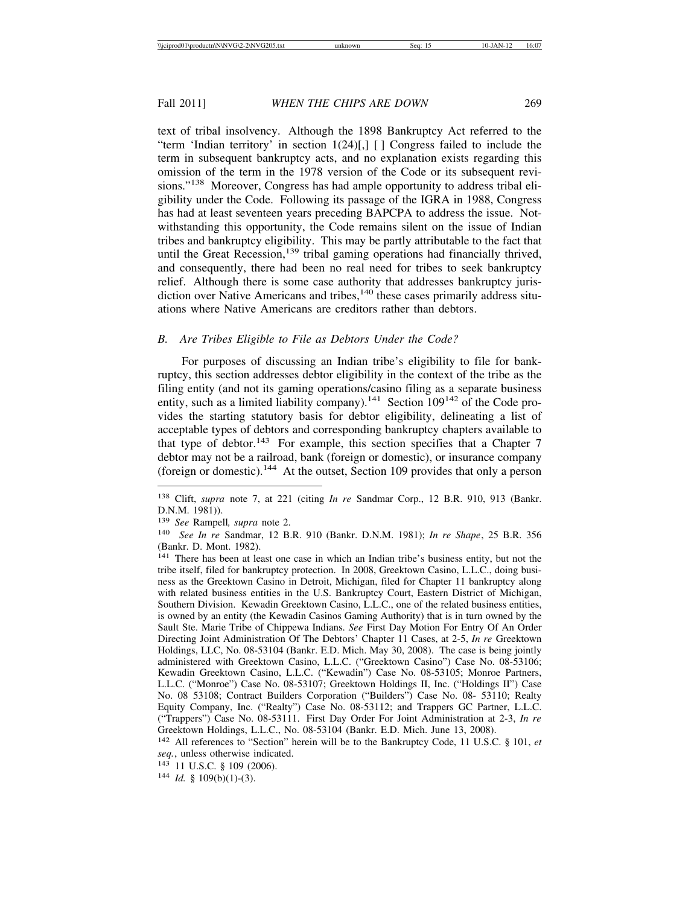text of tribal insolvency. Although the 1898 Bankruptcy Act referred to the "term 'Indian territory' in section  $1(24)[,]$  [] Congress failed to include the term in subsequent bankruptcy acts, and no explanation exists regarding this omission of the term in the 1978 version of the Code or its subsequent revisions."<sup>138</sup> Moreover, Congress has had ample opportunity to address tribal eligibility under the Code. Following its passage of the IGRA in 1988, Congress has had at least seventeen years preceding BAPCPA to address the issue. Notwithstanding this opportunity, the Code remains silent on the issue of Indian tribes and bankruptcy eligibility. This may be partly attributable to the fact that until the Great Recession, $139$  tribal gaming operations had financially thrived, and consequently, there had been no real need for tribes to seek bankruptcy relief. Although there is some case authority that addresses bankruptcy jurisdiction over Native Americans and tribes, $140$  these cases primarily address situations where Native Americans are creditors rather than debtors.

# *B. Are Tribes Eligible to File as Debtors Under the Code?*

For purposes of discussing an Indian tribe's eligibility to file for bankruptcy, this section addresses debtor eligibility in the context of the tribe as the filing entity (and not its gaming operations/casino filing as a separate business entity, such as a limited liability company).<sup>141</sup> Section  $109^{142}$  of the Code provides the starting statutory basis for debtor eligibility, delineating a list of acceptable types of debtors and corresponding bankruptcy chapters available to that type of debtor.<sup>143</sup> For example, this section specifies that a Chapter 7 debtor may not be a railroad, bank (foreign or domestic), or insurance company (foreign or domestic).144 At the outset, Section 109 provides that only a person

<sup>138</sup> Clift, *supra* note 7, at 221 (citing *In re* Sandmar Corp., 12 B.R. 910, 913 (Bankr. D.N.M. 1981)).

<sup>139</sup> *See* Rampell*, supra* note 2.

<sup>140</sup> *See In re* Sandmar, 12 B.R. 910 (Bankr. D.N.M. 1981); *In re Shape*, 25 B.R. 356 (Bankr. D. Mont. 1982).

<sup>141</sup> There has been at least one case in which an Indian tribe's business entity, but not the tribe itself, filed for bankruptcy protection. In 2008, Greektown Casino, L.L.C., doing business as the Greektown Casino in Detroit, Michigan, filed for Chapter 11 bankruptcy along with related business entities in the U.S. Bankruptcy Court, Eastern District of Michigan, Southern Division. Kewadin Greektown Casino, L.L.C., one of the related business entities, is owned by an entity (the Kewadin Casinos Gaming Authority) that is in turn owned by the Sault Ste. Marie Tribe of Chippewa Indians. *See* First Day Motion For Entry Of An Order Directing Joint Administration Of The Debtors' Chapter 11 Cases, at 2-5, *In re* Greektown Holdings, LLC, No. 08-53104 (Bankr. E.D. Mich. May 30, 2008). The case is being jointly administered with Greektown Casino, L.L.C. ("Greektown Casino") Case No. 08-53106; Kewadin Greektown Casino, L.L.C. ("Kewadin") Case No. 08-53105; Monroe Partners, L.L.C. ("Monroe") Case No. 08-53107; Greektown Holdings II, Inc. ("Holdings II") Case No. 08 53108; Contract Builders Corporation ("Builders") Case No. 08- 53110; Realty Equity Company, Inc. ("Realty") Case No. 08-53112; and Trappers GC Partner, L.L.C. ("Trappers") Case No. 08-53111. First Day Order For Joint Administration at 2-3, *In re* Greektown Holdings, L.L.C., No. 08-53104 (Bankr. E.D. Mich. June 13, 2008).

<sup>142</sup> All references to "Section" herein will be to the Bankruptcy Code, 11 U.S.C. § 101, *et seq.*, unless otherwise indicated.

<sup>143 11</sup> U.S.C. § 109 (2006).

<sup>144</sup> *Id.* § 109(b)(1)-(3).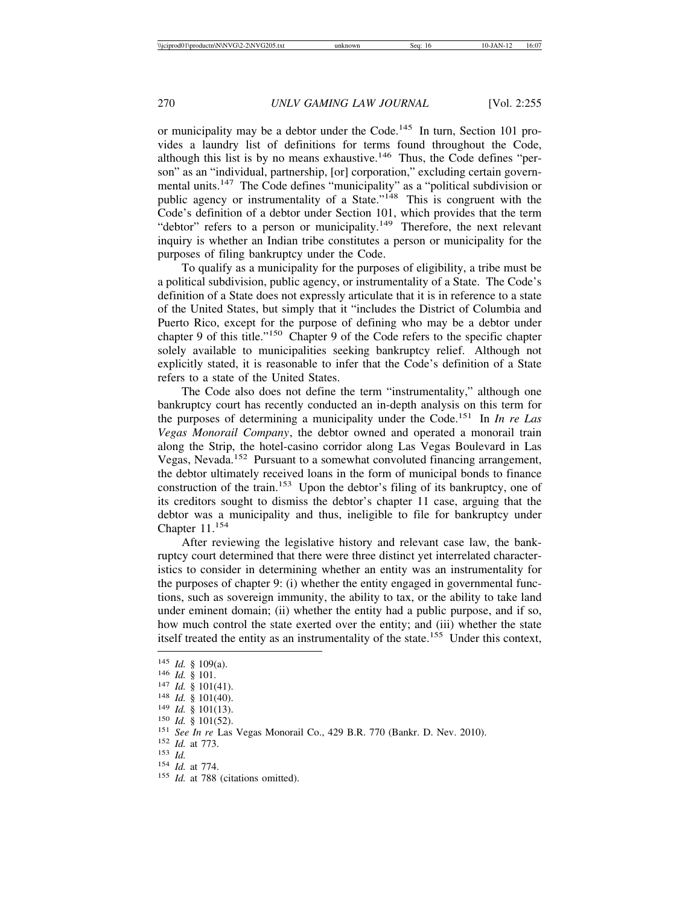or municipality may be a debtor under the Code.<sup>145</sup> In turn, Section 101 provides a laundry list of definitions for terms found throughout the Code, although this list is by no means exhaustive.<sup>146</sup> Thus, the Code defines "person" as an "individual, partnership, [or] corporation," excluding certain governmental units.147 The Code defines "municipality" as a "political subdivision or public agency or instrumentality of a State."<sup>148</sup> This is congruent with the Code's definition of a debtor under Section 101, which provides that the term "debtor" refers to a person or municipality.<sup>149</sup> Therefore, the next relevant inquiry is whether an Indian tribe constitutes a person or municipality for the purposes of filing bankruptcy under the Code.

To qualify as a municipality for the purposes of eligibility, a tribe must be a political subdivision, public agency, or instrumentality of a State. The Code's definition of a State does not expressly articulate that it is in reference to a state of the United States, but simply that it "includes the District of Columbia and Puerto Rico, except for the purpose of defining who may be a debtor under chapter 9 of this title."150 Chapter 9 of the Code refers to the specific chapter solely available to municipalities seeking bankruptcy relief. Although not explicitly stated, it is reasonable to infer that the Code's definition of a State refers to a state of the United States.

The Code also does not define the term "instrumentality," although one bankruptcy court has recently conducted an in-depth analysis on this term for the purposes of determining a municipality under the Code.151 In *In re Las Vegas Monorail Company*, the debtor owned and operated a monorail train along the Strip, the hotel-casino corridor along Las Vegas Boulevard in Las Vegas, Nevada.<sup>152</sup> Pursuant to a somewhat convoluted financing arrangement, the debtor ultimately received loans in the form of municipal bonds to finance construction of the train.<sup>153</sup> Upon the debtor's filing of its bankruptcy, one of its creditors sought to dismiss the debtor's chapter 11 case, arguing that the debtor was a municipality and thus, ineligible to file for bankruptcy under Chapter 11.<sup>154</sup>

After reviewing the legislative history and relevant case law, the bankruptcy court determined that there were three distinct yet interrelated characteristics to consider in determining whether an entity was an instrumentality for the purposes of chapter 9: (i) whether the entity engaged in governmental functions, such as sovereign immunity, the ability to tax, or the ability to take land under eminent domain; (ii) whether the entity had a public purpose, and if so, how much control the state exerted over the entity; and (iii) whether the state itself treated the entity as an instrumentality of the state.155 Under this context,

<sup>&</sup>lt;sup>145</sup> *Id.* § 109(a).<br><sup>146</sup> *Id.* § 101.<br><sup>147</sup> *Id.* § 101(41).<br><sup>148</sup> *Id.* § 101(40).<br><sup>149</sup> *Id.* § 101(13).<br><sup>150</sup> *Id.* § 101(52).<br><sup>151</sup> *See In re* Las Vegas Monorail Co., 429 B.R. 770 (Bankr. D. Nev. 2010).<br><sup>152</sup> *Id.*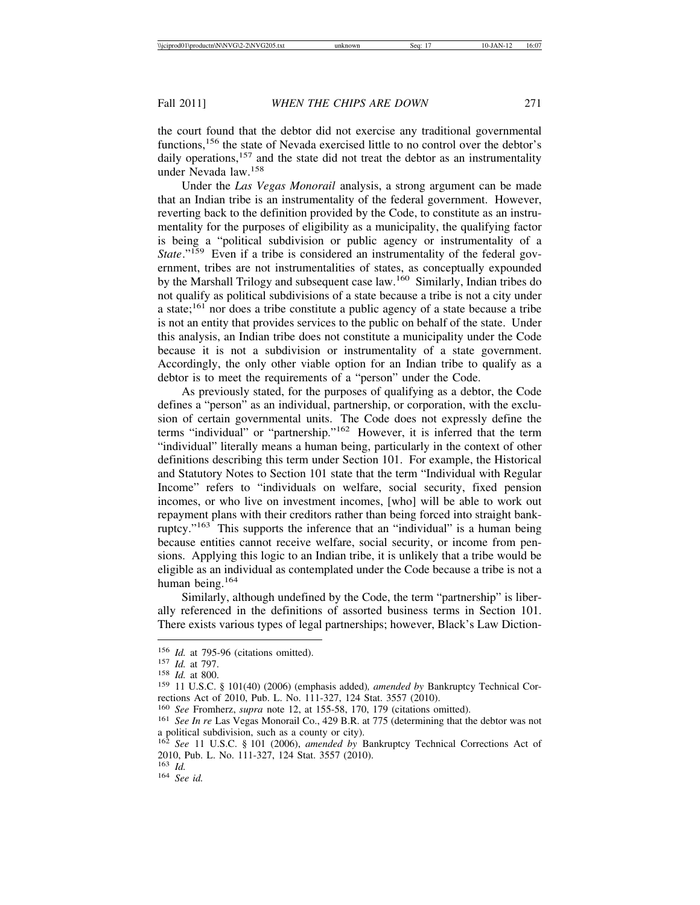the court found that the debtor did not exercise any traditional governmental functions,156 the state of Nevada exercised little to no control over the debtor's daily operations, $157$  and the state did not treat the debtor as an instrumentality under Nevada law.<sup>158</sup>

Under the *Las Vegas Monorail* analysis, a strong argument can be made that an Indian tribe is an instrumentality of the federal government. However, reverting back to the definition provided by the Code, to constitute as an instrumentality for the purposes of eligibility as a municipality, the qualifying factor is being a "political subdivision or public agency or instrumentality of a *State*."<sup>159</sup> Even if a tribe is considered an instrumentality of the federal government, tribes are not instrumentalities of states, as conceptually expounded by the Marshall Trilogy and subsequent case law.160 Similarly, Indian tribes do not qualify as political subdivisions of a state because a tribe is not a city under a state;  $161$  nor does a tribe constitute a public agency of a state because a tribe is not an entity that provides services to the public on behalf of the state. Under this analysis, an Indian tribe does not constitute a municipality under the Code because it is not a subdivision or instrumentality of a state government. Accordingly, the only other viable option for an Indian tribe to qualify as a debtor is to meet the requirements of a "person" under the Code.

As previously stated, for the purposes of qualifying as a debtor, the Code defines a "person" as an individual, partnership, or corporation, with the exclusion of certain governmental units. The Code does not expressly define the terms "individual" or "partnership."162 However, it is inferred that the term "individual" literally means a human being, particularly in the context of other definitions describing this term under Section 101. For example, the Historical and Statutory Notes to Section 101 state that the term "Individual with Regular Income" refers to "individuals on welfare, social security, fixed pension incomes, or who live on investment incomes, [who] will be able to work out repayment plans with their creditors rather than being forced into straight bankruptcy."163 This supports the inference that an "individual" is a human being because entities cannot receive welfare, social security, or income from pensions. Applying this logic to an Indian tribe, it is unlikely that a tribe would be eligible as an individual as contemplated under the Code because a tribe is not a human being.<sup>164</sup>

Similarly, although undefined by the Code, the term "partnership" is liberally referenced in the definitions of assorted business terms in Section 101. There exists various types of legal partnerships; however, Black's Law Diction-

<sup>156</sup> *Id.* at 795-96 (citations omitted).<br>
157 *Id.* at 797.<br>
158 *Id.* at 800.<br>
159 11 U.S.C. § 101(40) (2006) (emphasis added), *amended by* Bankruptcy Technical Corrections Act of 2010, Pub. L. No. 111-327, 124 Stat. 3557 (2010).<br><sup>160</sup> See Fromherz, *supra* note 12, at 155-58, 170, 179 (citations omitted).

<sup>&</sup>lt;sup>161</sup> *See In re* Las Vegas Monorail Co., 429 B.R. at 775 (determining that the debtor was not a political subdivision, such as a county or city).

<sup>162</sup> *See* 11 U.S.C. § 101 (2006), *amended by* Bankruptcy Technical Corrections Act of 2010, Pub. L. No. 111-327, 124 Stat. 3557 (2010). 163 Id.

<sup>163</sup> *Id.* <sup>164</sup> *See id.*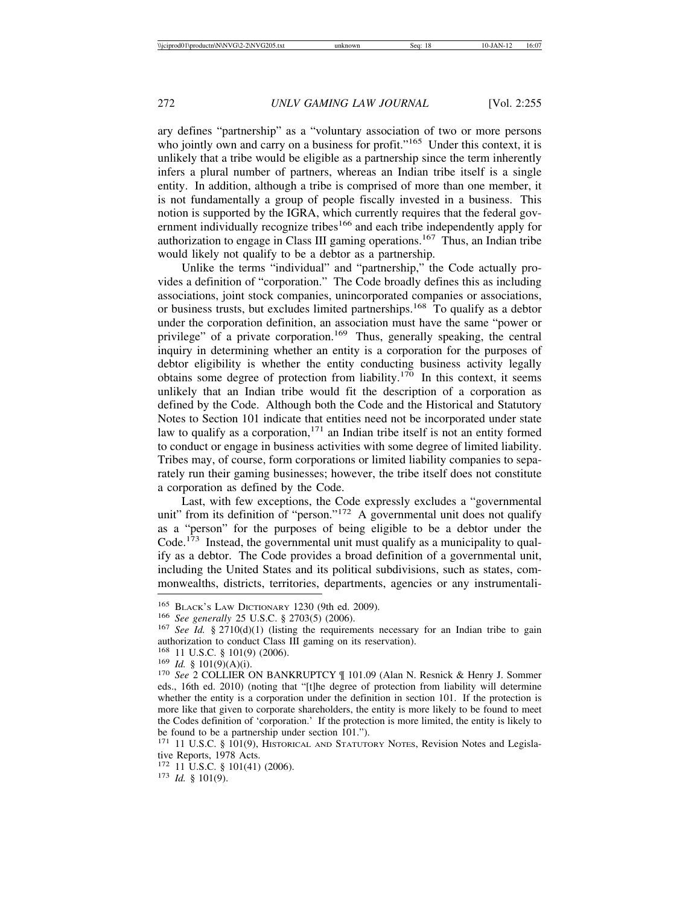ary defines "partnership" as a "voluntary association of two or more persons who jointly own and carry on a business for profit."<sup>165</sup> Under this context, it is unlikely that a tribe would be eligible as a partnership since the term inherently infers a plural number of partners, whereas an Indian tribe itself is a single entity. In addition, although a tribe is comprised of more than one member, it is not fundamentally a group of people fiscally invested in a business. This notion is supported by the IGRA, which currently requires that the federal government individually recognize tribes<sup>166</sup> and each tribe independently apply for authorization to engage in Class III gaming operations.<sup>167</sup> Thus, an Indian tribe would likely not qualify to be a debtor as a partnership.

Unlike the terms "individual" and "partnership," the Code actually provides a definition of "corporation." The Code broadly defines this as including associations, joint stock companies, unincorporated companies or associations, or business trusts, but excludes limited partnerships.<sup>168</sup> To qualify as a debtor under the corporation definition, an association must have the same "power or privilege" of a private corporation.<sup>169</sup> Thus, generally speaking, the central inquiry in determining whether an entity is a corporation for the purposes of debtor eligibility is whether the entity conducting business activity legally obtains some degree of protection from liability.<sup>170</sup> In this context, it seems unlikely that an Indian tribe would fit the description of a corporation as defined by the Code. Although both the Code and the Historical and Statutory Notes to Section 101 indicate that entities need not be incorporated under state law to qualify as a corporation,  $171$  an Indian tribe itself is not an entity formed to conduct or engage in business activities with some degree of limited liability. Tribes may, of course, form corporations or limited liability companies to separately run their gaming businesses; however, the tribe itself does not constitute a corporation as defined by the Code.

Last, with few exceptions, the Code expressly excludes a "governmental unit" from its definition of "person." $172$  A governmental unit does not qualify as a "person" for the purposes of being eligible to be a debtor under the Code.<sup>173</sup> Instead, the governmental unit must qualify as a municipality to qualify as a debtor. The Code provides a broad definition of a governmental unit, including the United States and its political subdivisions, such as states, commonwealths, districts, territories, departments, agencies or any instrumentali-

<sup>172</sup> 11 U.S.C. § 101(41) (2006). <sup>173</sup> *Id.* § 101(9).

<sup>165</sup> BLACK'S LAW DICTIONARY 1230 (9th ed. 2009). <sup>166</sup> *See generally* 25 U.S.C. § 2703(5) (2006). <sup>167</sup> *See Id.* § 2710(d)(1) (listing the requirements necessary for an Indian tribe to gain authorization to conduct Class III gaming on its reservation).<br><sup>168</sup> 11 U.S.C. § 101(9) (2006).

<sup>169</sup> *Id.* § 101(9)(A)(i).<br><sup>170</sup> *See* 2 COLLIER ON BANKRUPTCY ¶ 101.09 (Alan N. Resnick & Henry J. Sommer eds., 16th ed. 2010) (noting that "[t]he degree of protection from liability will determine whether the entity is a corporation under the definition in section 101. If the protection is more like that given to corporate shareholders, the entity is more likely to be found to meet the Codes definition of 'corporation.' If the protection is more limited, the entity is likely to be found to be a partnership under section 101.").

<sup>171</sup> 11 U.S.C. § 101(9), HISTORICAL AND STATUTORY NOTES, Revision Notes and Legislative Reports, 1978 Acts.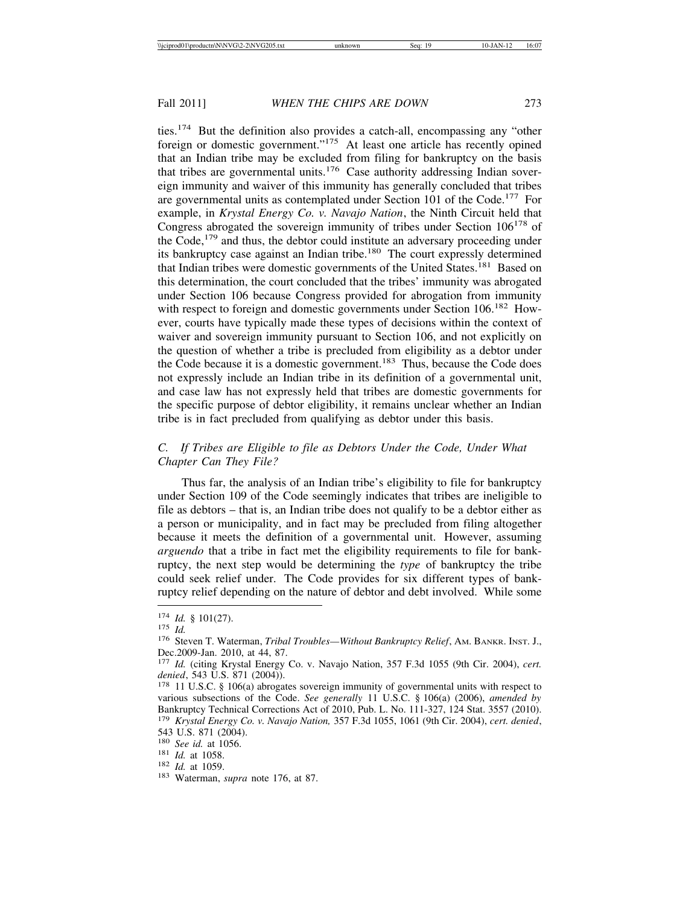ties.174 But the definition also provides a catch-all, encompassing any "other foreign or domestic government."175 At least one article has recently opined that an Indian tribe may be excluded from filing for bankruptcy on the basis that tribes are governmental units.176 Case authority addressing Indian sovereign immunity and waiver of this immunity has generally concluded that tribes are governmental units as contemplated under Section 101 of the Code.<sup>177</sup> For example, in *Krystal Energy Co. v. Navajo Nation*, the Ninth Circuit held that Congress abrogated the sovereign immunity of tribes under Section  $106^{178}$  of the Code,  $179$  and thus, the debtor could institute an adversary proceeding under its bankruptcy case against an Indian tribe.<sup>180</sup> The court expressly determined that Indian tribes were domestic governments of the United States.<sup>181</sup> Based on this determination, the court concluded that the tribes' immunity was abrogated under Section 106 because Congress provided for abrogation from immunity with respect to foreign and domestic governments under Section 106.<sup>182</sup> However, courts have typically made these types of decisions within the context of waiver and sovereign immunity pursuant to Section 106, and not explicitly on the question of whether a tribe is precluded from eligibility as a debtor under the Code because it is a domestic government.<sup>183</sup> Thus, because the Code does not expressly include an Indian tribe in its definition of a governmental unit, and case law has not expressly held that tribes are domestic governments for the specific purpose of debtor eligibility, it remains unclear whether an Indian tribe is in fact precluded from qualifying as debtor under this basis.

# *C. If Tribes are Eligible to file as Debtors Under the Code, Under What Chapter Can They File?*

Thus far, the analysis of an Indian tribe's eligibility to file for bankruptcy under Section 109 of the Code seemingly indicates that tribes are ineligible to file as debtors – that is, an Indian tribe does not qualify to be a debtor either as a person or municipality, and in fact may be precluded from filing altogether because it meets the definition of a governmental unit. However, assuming *arguendo* that a tribe in fact met the eligibility requirements to file for bankruptcy, the next step would be determining the *type* of bankruptcy the tribe could seek relief under. The Code provides for six different types of bankruptcy relief depending on the nature of debtor and debt involved. While some

<sup>174</sup> *Id.* § 101(27). <sup>175</sup> *Id.* <sup>176</sup> Steven T. Waterman, *Tribal Troubles—Without Bankruptcy Relief*, AM. BANKR. INST. J., Dec.2009-Jan. 2010, at 44, 87.

<sup>177</sup> *Id.* (citing Krystal Energy Co. v. Navajo Nation, 357 F.3d 1055 (9th Cir. 2004), *cert. denied*, 543 U.S. 871 (2004)). <sup>178</sup> 11 U.S.C. § 106(a) abrogates sovereign immunity of governmental units with respect to

various subsections of the Code. *See generally* 11 U.S.C. § 106(a) (2006), *amended by* Bankruptcy Technical Corrections Act of 2010, Pub. L. No. 111-327, 124 Stat. 3557 (2010). <sup>179</sup> *Krystal Energy Co. v. Navajo Nation,* 357 F.3d 1055, 1061 (9th Cir. 2004), *cert. denied*,

<sup>543</sup> U.S. 871 (2004).<br><sup>180</sup> *See id*. at 1056.

<sup>180</sup> *See id.* at 1056. <sup>181</sup> *Id.* at 1058. <sup>182</sup> *Id.* at 1059. <sup>183</sup> Waterman, *supra* note 176, at 87.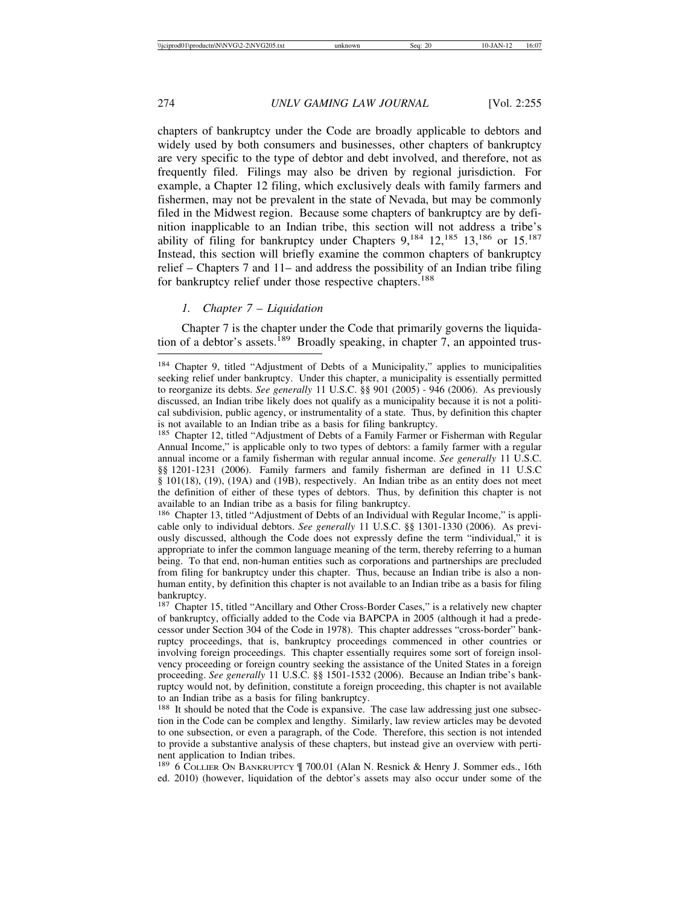chapters of bankruptcy under the Code are broadly applicable to debtors and widely used by both consumers and businesses, other chapters of bankruptcy are very specific to the type of debtor and debt involved, and therefore, not as frequently filed. Filings may also be driven by regional jurisdiction. For example, a Chapter 12 filing, which exclusively deals with family farmers and fishermen, may not be prevalent in the state of Nevada, but may be commonly filed in the Midwest region. Because some chapters of bankruptcy are by definition inapplicable to an Indian tribe, this section will not address a tribe's ability of filing for bankruptcy under Chapters  $9.184$   $12.185$   $13.186$  or  $15.187$ Instead, this section will briefly examine the common chapters of bankruptcy relief – Chapters 7 and 11– and address the possibility of an Indian tribe filing for bankruptcy relief under those respective chapters.<sup>188</sup>

## *1. Chapter 7 – Liquidation*

Chapter 7 is the chapter under the Code that primarily governs the liquidation of a debtor's assets.<sup>189</sup> Broadly speaking, in chapter 7, an appointed trus-

<sup>186</sup> Chapter 13, titled "Adjustment of Debts of an Individual with Regular Income," is applicable only to individual debtors. *See generally* 11 U.S.C. §§ 1301-1330 (2006). As previously discussed, although the Code does not expressly define the term "individual," it is appropriate to infer the common language meaning of the term, thereby referring to a human being. To that end, non-human entities such as corporations and partnerships are precluded from filing for bankruptcy under this chapter. Thus, because an Indian tribe is also a nonhuman entity, by definition this chapter is not available to an Indian tribe as a basis for filing bankruptcy.

<sup>187</sup> Chapter 15, titled "Ancillary and Other Cross-Border Cases," is a relatively new chapter of bankruptcy, officially added to the Code via BAPCPA in 2005 (although it had a predecessor under Section 304 of the Code in 1978). This chapter addresses "cross-border" bankruptcy proceedings, that is, bankruptcy proceedings commenced in other countries or involving foreign proceedings. This chapter essentially requires some sort of foreign insolvency proceeding or foreign country seeking the assistance of the United States in a foreign proceeding. *See generally* 11 U.S.C. §§ 1501-1532 (2006). Because an Indian tribe's bankruptcy would not, by definition, constitute a foreign proceeding, this chapter is not available to an Indian tribe as a basis for filing bankruptcy.

<sup>188</sup> It should be noted that the Code is expansive. The case law addressing just one subsection in the Code can be complex and lengthy. Similarly, law review articles may be devoted to one subsection, or even a paragraph, of the Code. Therefore, this section is not intended to provide a substantive analysis of these chapters, but instead give an overview with pertinent application to Indian tribes.

189 6 COLLIER ON BANKRUPTCY | 700.01 (Alan N. Resnick & Henry J. Sommer eds., 16th ed. 2010) (however, liquidation of the debtor's assets may also occur under some of the

<sup>184</sup> Chapter 9, titled "Adjustment of Debts of a Municipality," applies to municipalities seeking relief under bankruptcy. Under this chapter, a municipality is essentially permitted to reorganize its debts. *See generally* 11 U.S.C. §§ 901 (2005) - 946 (2006). As previously discussed, an Indian tribe likely does not qualify as a municipality because it is not a political subdivision, public agency, or instrumentality of a state. Thus, by definition this chapter is not available to an Indian tribe as a basis for filing bankruptcy.

<sup>&</sup>lt;sup>185</sup> Chapter 12, titled "Adjustment of Debts of a Family Farmer or Fisherman with Regular Annual Income," is applicable only to two types of debtors: a family farmer with a regular annual income or a family fisherman with regular annual income. *See generally* 11 U.S.C. §§ 1201-1231 (2006). Family farmers and family fisherman are defined in 11 U.S.C § 101(18), (19), (19A) and (19B), respectively. An Indian tribe as an entity does not meet the definition of either of these types of debtors. Thus, by definition this chapter is not available to an Indian tribe as a basis for filing bankruptcy.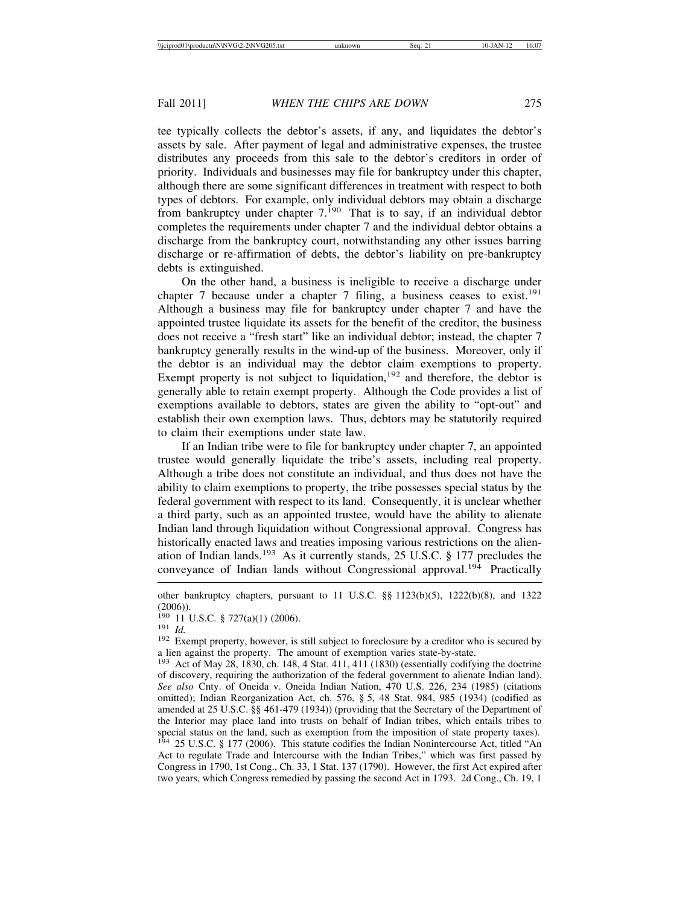tee typically collects the debtor's assets, if any, and liquidates the debtor's assets by sale. After payment of legal and administrative expenses, the trustee distributes any proceeds from this sale to the debtor's creditors in order of priority. Individuals and businesses may file for bankruptcy under this chapter, although there are some significant differences in treatment with respect to both types of debtors. For example, only individual debtors may obtain a discharge from bankruptcy under chapter  $7<sup>190</sup>$  That is to say, if an individual debtor completes the requirements under chapter 7 and the individual debtor obtains a discharge from the bankruptcy court, notwithstanding any other issues barring discharge or re-affirmation of debts, the debtor's liability on pre-bankruptcy debts is extinguished.

On the other hand, a business is ineligible to receive a discharge under chapter 7 because under a chapter 7 filing, a business ceases to exist.<sup>191</sup> Although a business may file for bankruptcy under chapter 7 and have the appointed trustee liquidate its assets for the benefit of the creditor, the business does not receive a "fresh start" like an individual debtor; instead, the chapter 7 bankruptcy generally results in the wind-up of the business. Moreover, only if the debtor is an individual may the debtor claim exemptions to property. Exempt property is not subject to liquidation, $192$  and therefore, the debtor is generally able to retain exempt property. Although the Code provides a list of exemptions available to debtors, states are given the ability to "opt-out" and establish their own exemption laws. Thus, debtors may be statutorily required to claim their exemptions under state law.

If an Indian tribe were to file for bankruptcy under chapter 7, an appointed trustee would generally liquidate the tribe's assets, including real property. Although a tribe does not constitute an individual, and thus does not have the ability to claim exemptions to property, the tribe possesses special status by the federal government with respect to its land. Consequently, it is unclear whether a third party, such as an appointed trustee, would have the ability to alienate Indian land through liquidation without Congressional approval. Congress has historically enacted laws and treaties imposing various restrictions on the alienation of Indian lands.<sup>193</sup> As it currently stands, 25 U.S.C. § 177 precludes the conveyance of Indian lands without Congressional approval.<sup>194</sup> Practically

other bankruptcy chapters, pursuant to 11 U.S.C. §§ 1123(b)(5), 1222(b)(8), and 1322  $(2006)$ ).<br><sup>190</sup> 11 U.S.C. § 727(a)(1) (2006).

<sup>&</sup>lt;sup>191</sup> *Id.* Exempt property, however, is still subject to foreclosure by a creditor who is secured by 192 Exempt property, however, is still subject to foreclosure by a creditor who is secured by a lien against the property. The amount of exemption varies state-by-state.

<sup>193</sup> Act of May 28, 1830, ch. 148, 4 Stat. 411, 411 (1830) (essentially codifying the doctrine of discovery, requiring the authorization of the federal government to alienate Indian land). *See also* Cnty. of Oneida v. Oneida Indian Nation, 470 U.S. 226, 234 (1985) (citations omitted); Indian Reorganization Act, ch. 576, § 5, 48 Stat. 984, 985 (1934) (codified as amended at 25 U.S.C. §§ 461-479 (1934)) (providing that the Secretary of the Department of the Interior may place land into trusts on behalf of Indian tribes, which entails tribes to special status on the land, such as exemption from the imposition of state property taxes). <sup>194</sup> 25 U.S.C. § 177 (2006). This statute codifies the Indian Nonintercourse Act, titled "An Act to regulate Trade and Intercourse with the Indian Tribes," which was first passed by Congress in 1790, 1st Cong., Ch. 33, 1 Stat. 137 (1790). However, the first Act expired after two years, which Congress remedied by passing the second Act in 1793. 2d Cong., Ch. 19, 1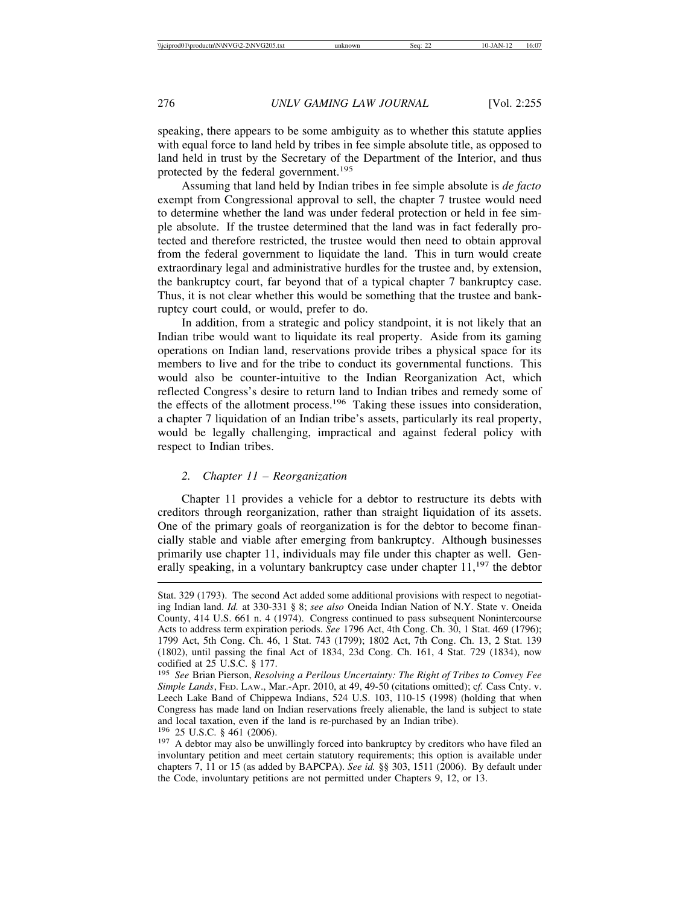speaking, there appears to be some ambiguity as to whether this statute applies with equal force to land held by tribes in fee simple absolute title, as opposed to land held in trust by the Secretary of the Department of the Interior, and thus protected by the federal government.<sup>195</sup>

Assuming that land held by Indian tribes in fee simple absolute is *de facto* exempt from Congressional approval to sell, the chapter 7 trustee would need to determine whether the land was under federal protection or held in fee simple absolute. If the trustee determined that the land was in fact federally protected and therefore restricted, the trustee would then need to obtain approval from the federal government to liquidate the land. This in turn would create extraordinary legal and administrative hurdles for the trustee and, by extension, the bankruptcy court, far beyond that of a typical chapter 7 bankruptcy case. Thus, it is not clear whether this would be something that the trustee and bankruptcy court could, or would, prefer to do.

In addition, from a strategic and policy standpoint, it is not likely that an Indian tribe would want to liquidate its real property. Aside from its gaming operations on Indian land, reservations provide tribes a physical space for its members to live and for the tribe to conduct its governmental functions. This would also be counter-intuitive to the Indian Reorganization Act, which reflected Congress's desire to return land to Indian tribes and remedy some of the effects of the allotment process.<sup>196</sup> Taking these issues into consideration, a chapter 7 liquidation of an Indian tribe's assets, particularly its real property, would be legally challenging, impractical and against federal policy with respect to Indian tribes.

## *2. Chapter 11 – Reorganization*

Chapter 11 provides a vehicle for a debtor to restructure its debts with creditors through reorganization, rather than straight liquidation of its assets. One of the primary goals of reorganization is for the debtor to become financially stable and viable after emerging from bankruptcy. Although businesses primarily use chapter 11, individuals may file under this chapter as well. Generally speaking, in a voluntary bankruptcy case under chapter  $11<sup>197</sup>$ , the debtor

Stat. 329 (1793). The second Act added some additional provisions with respect to negotiating Indian land. *Id.* at 330-331 § 8; *see also* Oneida Indian Nation of N.Y. State v. Oneida County, 414 U.S. 661 n. 4 (1974). Congress continued to pass subsequent Nonintercourse Acts to address term expiration periods. *See* 1796 Act, 4th Cong. Ch. 30, 1 Stat. 469 (1796); 1799 Act, 5th Cong. Ch. 46, 1 Stat. 743 (1799); 1802 Act, 7th Cong. Ch. 13, 2 Stat. 139 (1802), until passing the final Act of 1834, 23d Cong. Ch. 161, 4 Stat. 729 (1834), now codified at 25 U.S.C. § 177.

<sup>195</sup> *See* Brian Pierson, *Resolving a Perilous Uncertainty: The Right of Tribes to Convey Fee Simple Lands*, FED. LAW., Mar.-Apr. 2010, at 49, 49-50 (citations omitted); c*f.* Cass Cnty. v. Leech Lake Band of Chippewa Indians, 524 U.S. 103, 110-15 (1998) (holding that when Congress has made land on Indian reservations freely alienable, the land is subject to state and local taxation, even if the land is re-purchased by an Indian tribe).

<sup>&</sup>lt;sup>196</sup> 25 U.S.C. § 461 (2006).<br><sup>197</sup> A debtor may also be unwillingly forced into bankruptcy by creditors who have filed an involuntary petition and meet certain statutory requirements; this option is available under chapters 7, 11 or 15 (as added by BAPCPA). *See id.* §§ 303, 1511 (2006). By default under the Code, involuntary petitions are not permitted under Chapters 9, 12, or 13.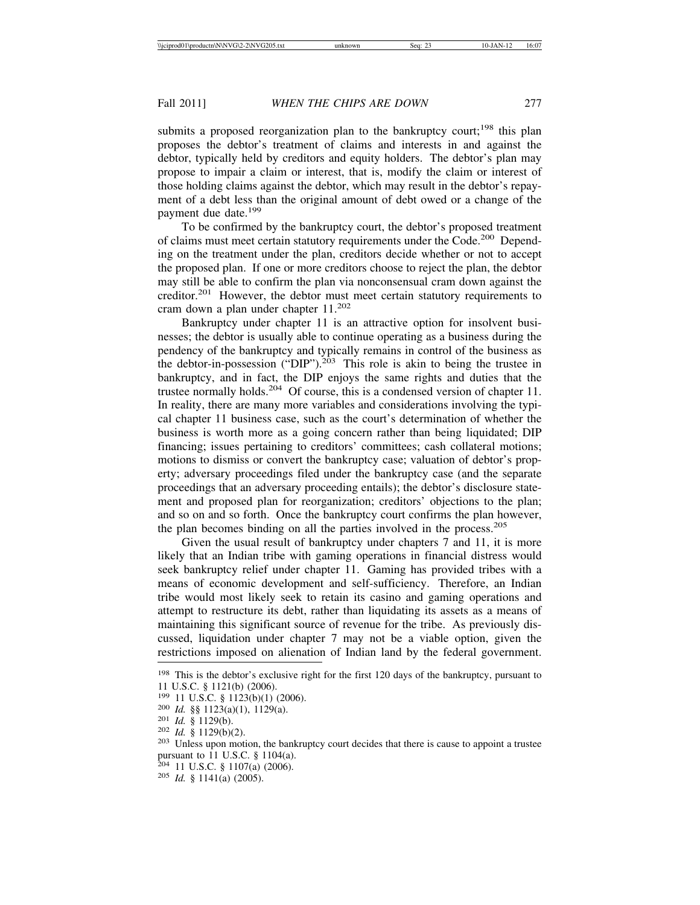submits a proposed reorganization plan to the bankruptcy court;<sup>198</sup> this plan proposes the debtor's treatment of claims and interests in and against the debtor, typically held by creditors and equity holders. The debtor's plan may propose to impair a claim or interest, that is, modify the claim or interest of those holding claims against the debtor, which may result in the debtor's repayment of a debt less than the original amount of debt owed or a change of the payment due date.<sup>199</sup>

To be confirmed by the bankruptcy court, the debtor's proposed treatment of claims must meet certain statutory requirements under the Code.200 Depending on the treatment under the plan, creditors decide whether or not to accept the proposed plan. If one or more creditors choose to reject the plan, the debtor may still be able to confirm the plan via nonconsensual cram down against the creditor.201 However, the debtor must meet certain statutory requirements to cram down a plan under chapter 11.<sup>202</sup>

Bankruptcy under chapter 11 is an attractive option for insolvent businesses; the debtor is usually able to continue operating as a business during the pendency of the bankruptcy and typically remains in control of the business as the debtor-in-possession ("DIP").<sup>203</sup> This role is akin to being the trustee in bankruptcy, and in fact, the DIP enjoys the same rights and duties that the trustee normally holds.<sup>204</sup> Of course, this is a condensed version of chapter 11. In reality, there are many more variables and considerations involving the typical chapter 11 business case, such as the court's determination of whether the business is worth more as a going concern rather than being liquidated; DIP financing; issues pertaining to creditors' committees; cash collateral motions; motions to dismiss or convert the bankruptcy case; valuation of debtor's property; adversary proceedings filed under the bankruptcy case (and the separate proceedings that an adversary proceeding entails); the debtor's disclosure statement and proposed plan for reorganization; creditors' objections to the plan; and so on and so forth. Once the bankruptcy court confirms the plan however, the plan becomes binding on all the parties involved in the process.<sup>205</sup>

Given the usual result of bankruptcy under chapters 7 and 11, it is more likely that an Indian tribe with gaming operations in financial distress would seek bankruptcy relief under chapter 11. Gaming has provided tribes with a means of economic development and self-sufficiency. Therefore, an Indian tribe would most likely seek to retain its casino and gaming operations and attempt to restructure its debt, rather than liquidating its assets as a means of maintaining this significant source of revenue for the tribe. As previously discussed, liquidation under chapter 7 may not be a viable option, given the restrictions imposed on alienation of Indian land by the federal government.

<sup>&</sup>lt;sup>198</sup> This is the debtor's exclusive right for the first 120 days of the bankruptcy, pursuant to

<sup>11</sup> U.S.C. § 1121(b) (2006).<br><sup>199</sup> 11 U.S.C. § 1123(b)(1) (2006).

<sup>&</sup>lt;sup>200</sup> *Id.* §§ 1123(a)(1), 1129(a).<br><sup>201</sup> *Id.* § 1129(b).<br><sup>202</sup> *Id.* § 1129(b)(2).<br><sup>203</sup> Unless upon motion, the bankruptcy court decides that there is cause to appoint a trustee pursuant to 11 U.S.C. § 1104(a).

<sup>204</sup> 11 U.S.C. § 1107(a) (2006). <sup>205</sup> *Id.* § 1141(a) (2005).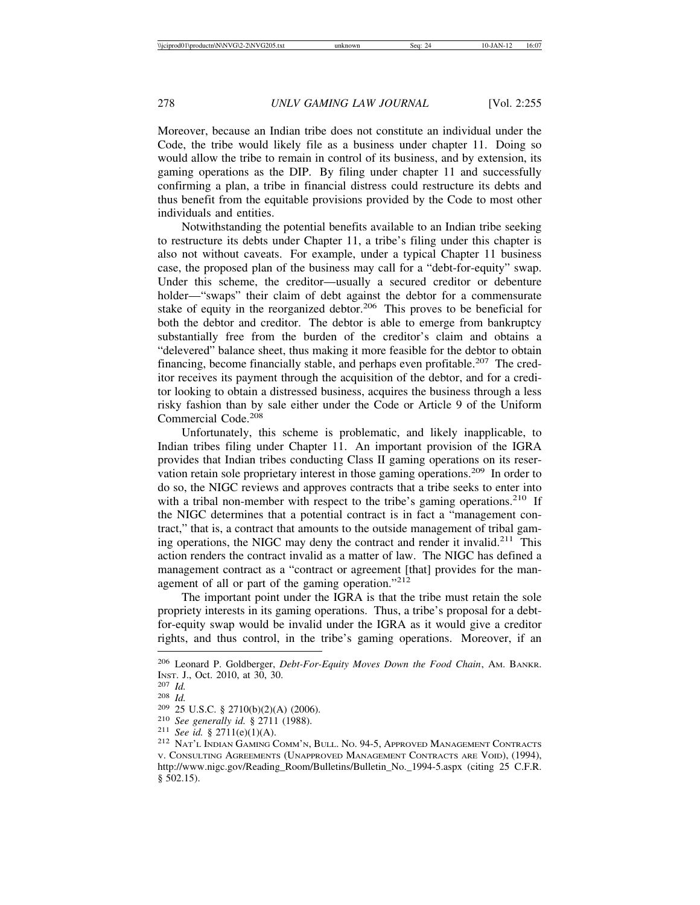Moreover, because an Indian tribe does not constitute an individual under the Code, the tribe would likely file as a business under chapter 11. Doing so would allow the tribe to remain in control of its business, and by extension, its gaming operations as the DIP. By filing under chapter 11 and successfully confirming a plan, a tribe in financial distress could restructure its debts and thus benefit from the equitable provisions provided by the Code to most other individuals and entities.

Notwithstanding the potential benefits available to an Indian tribe seeking to restructure its debts under Chapter 11, a tribe's filing under this chapter is also not without caveats. For example, under a typical Chapter 11 business case, the proposed plan of the business may call for a "debt-for-equity" swap. Under this scheme, the creditor—usually a secured creditor or debenture holder—"swaps" their claim of debt against the debtor for a commensurate stake of equity in the reorganized debtor.<sup>206</sup> This proves to be beneficial for both the debtor and creditor. The debtor is able to emerge from bankruptcy substantially free from the burden of the creditor's claim and obtains a "delevered" balance sheet, thus making it more feasible for the debtor to obtain financing, become financially stable, and perhaps even profitable.<sup>207</sup> The creditor receives its payment through the acquisition of the debtor, and for a creditor looking to obtain a distressed business, acquires the business through a less risky fashion than by sale either under the Code or Article 9 of the Uniform Commercial Code.<sup>208</sup>

Unfortunately, this scheme is problematic, and likely inapplicable, to Indian tribes filing under Chapter 11. An important provision of the IGRA provides that Indian tribes conducting Class II gaming operations on its reservation retain sole proprietary interest in those gaming operations.<sup>209</sup> In order to do so, the NIGC reviews and approves contracts that a tribe seeks to enter into with a tribal non-member with respect to the tribe's gaming operations.<sup>210</sup> If the NIGC determines that a potential contract is in fact a "management contract," that is, a contract that amounts to the outside management of tribal gaming operations, the NIGC may deny the contract and render it invalid.<sup>211</sup> This action renders the contract invalid as a matter of law. The NIGC has defined a management contract as a "contract or agreement [that] provides for the management of all or part of the gaming operation."<sup>212</sup>

The important point under the IGRA is that the tribe must retain the sole propriety interests in its gaming operations. Thus, a tribe's proposal for a debtfor-equity swap would be invalid under the IGRA as it would give a creditor rights, and thus control, in the tribe's gaming operations. Moreover, if an

<sup>206</sup> Leonard P. Goldberger, *Debt-For-Equity Moves Down the Food Chain*, AM. BANKR. INST. J., Oct. 2010, at 30, 30.<br>
<sup>207</sup> Id.<br>
<sup>208</sup> Id.<br>
<sup>209</sup> 25 U.S.C. § 2710(b)(2)(A) (2006).<br>
<sup>210</sup> *See generally id.* § 2711 (1988).<br>
<sup>211</sup> *See id.* § 2711(e)(1)(A).<br>
<sup>212</sup> Nat'l Indian Gaming Comm'n, Bull. No. 94-5,

V. CONSULTING AGREEMENTS (UNAPPROVED MANAGEMENT CONTRACTS ARE VOID), (1994), http://www.nigc.gov/Reading\_Room/Bulletins/Bulletin\_No.\_1994-5.aspx (citing 25 C.F.R. § 502.15).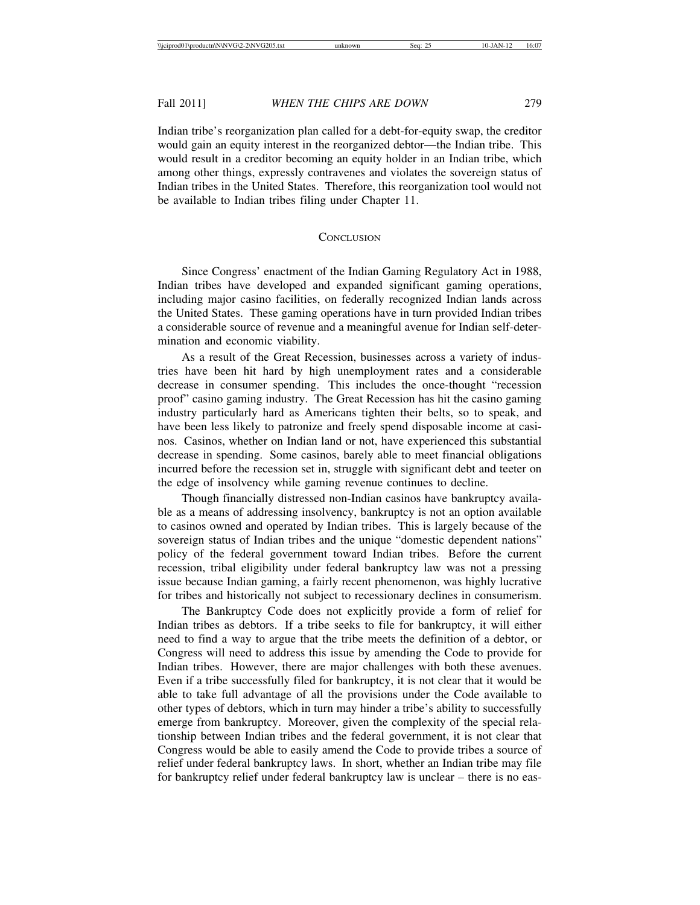Indian tribe's reorganization plan called for a debt-for-equity swap, the creditor would gain an equity interest in the reorganized debtor—the Indian tribe. This would result in a creditor becoming an equity holder in an Indian tribe, which among other things, expressly contravenes and violates the sovereign status of Indian tribes in the United States. Therefore, this reorganization tool would not be available to Indian tribes filing under Chapter 11.

## **CONCLUSION**

Since Congress' enactment of the Indian Gaming Regulatory Act in 1988, Indian tribes have developed and expanded significant gaming operations, including major casino facilities, on federally recognized Indian lands across the United States. These gaming operations have in turn provided Indian tribes a considerable source of revenue and a meaningful avenue for Indian self-determination and economic viability.

As a result of the Great Recession, businesses across a variety of industries have been hit hard by high unemployment rates and a considerable decrease in consumer spending. This includes the once-thought "recession proof" casino gaming industry. The Great Recession has hit the casino gaming industry particularly hard as Americans tighten their belts, so to speak, and have been less likely to patronize and freely spend disposable income at casinos. Casinos, whether on Indian land or not, have experienced this substantial decrease in spending. Some casinos, barely able to meet financial obligations incurred before the recession set in, struggle with significant debt and teeter on the edge of insolvency while gaming revenue continues to decline.

Though financially distressed non-Indian casinos have bankruptcy available as a means of addressing insolvency, bankruptcy is not an option available to casinos owned and operated by Indian tribes. This is largely because of the sovereign status of Indian tribes and the unique "domestic dependent nations" policy of the federal government toward Indian tribes. Before the current recession, tribal eligibility under federal bankruptcy law was not a pressing issue because Indian gaming, a fairly recent phenomenon, was highly lucrative for tribes and historically not subject to recessionary declines in consumerism.

The Bankruptcy Code does not explicitly provide a form of relief for Indian tribes as debtors. If a tribe seeks to file for bankruptcy, it will either need to find a way to argue that the tribe meets the definition of a debtor, or Congress will need to address this issue by amending the Code to provide for Indian tribes. However, there are major challenges with both these avenues. Even if a tribe successfully filed for bankruptcy, it is not clear that it would be able to take full advantage of all the provisions under the Code available to other types of debtors, which in turn may hinder a tribe's ability to successfully emerge from bankruptcy. Moreover, given the complexity of the special relationship between Indian tribes and the federal government, it is not clear that Congress would be able to easily amend the Code to provide tribes a source of relief under federal bankruptcy laws. In short, whether an Indian tribe may file for bankruptcy relief under federal bankruptcy law is unclear – there is no eas-